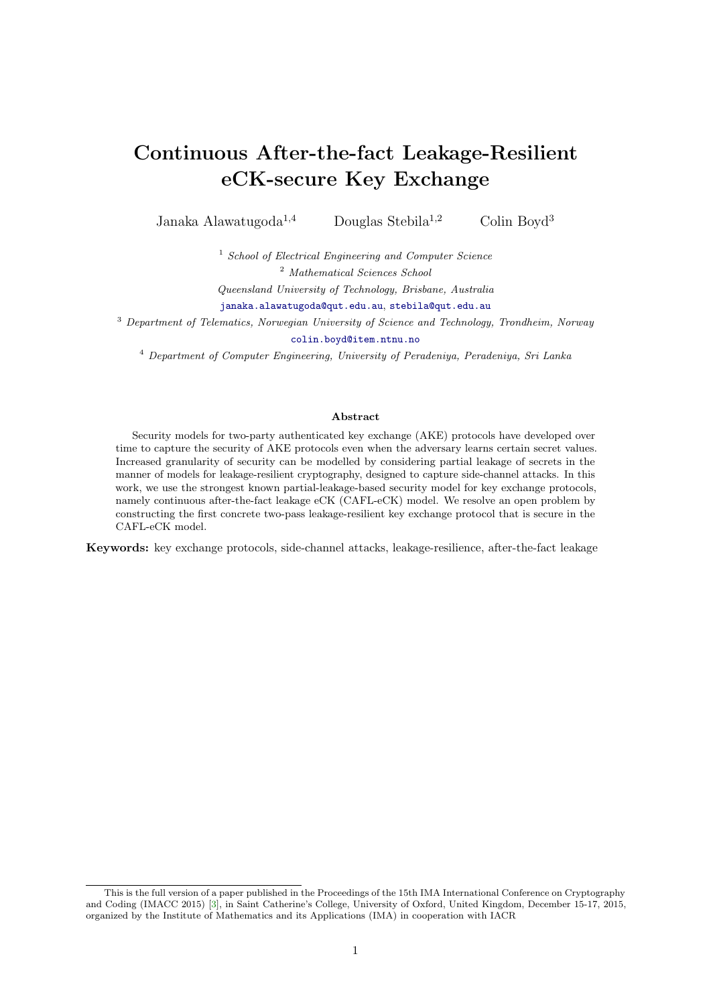# Continuous After-the-fact Leakage-Resilient eCK-secure Key Exchange

Janaka Alawatugoda<sup>1,4</sup> Douglas Stebila<sup>1,2</sup> Colin Boyd<sup>3</sup>

<sup>1</sup> School of Electrical Engineering and Computer Science <sup>2</sup> Mathematical Sciences School Queensland University of Technology, Brisbane, Australia [janaka.alawatugoda@qut.edu.au](mailto:janaka.alawatugoda@qut.edu.au), [stebila@qut.edu.au](mailto:stebila@qut.edu.au)

<sup>3</sup> Department of Telematics, Norwegian University of Science and Technology, Trondheim, Norway [colin.boyd@item.ntnu.no](mailto:colin.boyd@item.ntnu.no)

<sup>4</sup> Department of Computer Engineering, University of Peradeniya, Peradeniya, Sri Lanka

#### Abstract

Security models for two-party authenticated key exchange (AKE) protocols have developed over time to capture the security of AKE protocols even when the adversary learns certain secret values. Increased granularity of security can be modelled by considering partial leakage of secrets in the manner of models for leakage-resilient cryptography, designed to capture side-channel attacks. In this work, we use the strongest known partial-leakage-based security model for key exchange protocols, namely continuous after-the-fact leakage eCK (CAFL-eCK) model. We resolve an open problem by constructing the first concrete two-pass leakage-resilient key exchange protocol that is secure in the CAFL-eCK model.

Keywords: key exchange protocols, side-channel attacks, leakage-resilience, after-the-fact leakage

This is the full version of a paper published in the Proceedings of the 15th IMA International Conference on Cryptography and Coding (IMACC 2015) [\[3\]](#page-13-0), in Saint Catherine's College, University of Oxford, United Kingdom, December 15-17, 2015, organized by the Institute of Mathematics and its Applications (IMA) in cooperation with IACR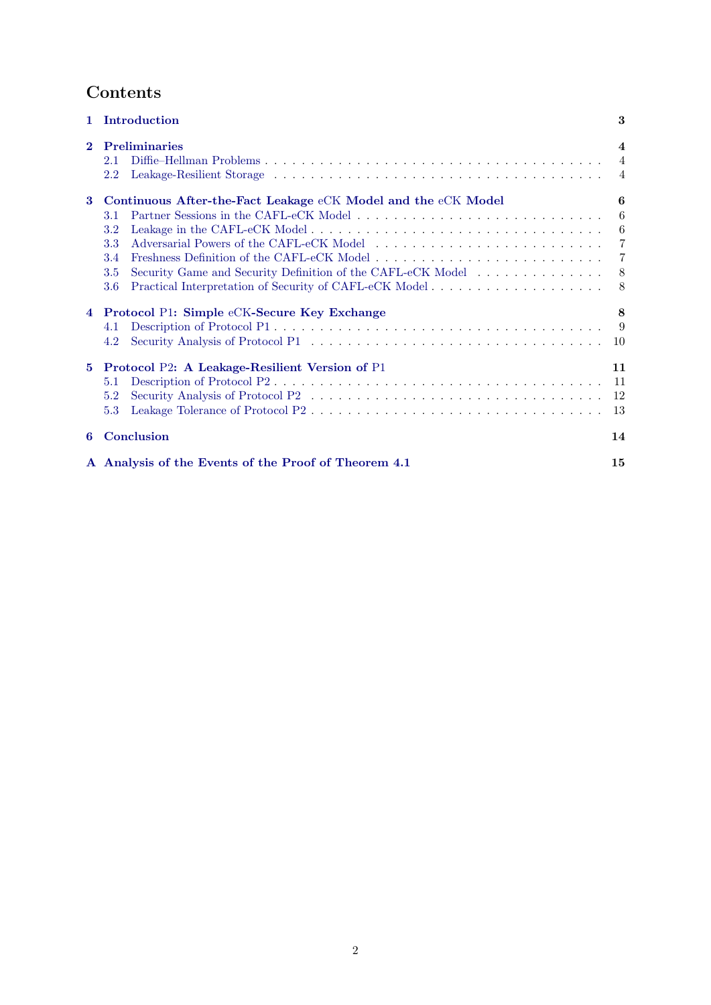# Contents

| 1.             | Introduction                                                                                                                                                           | 3                                                    |
|----------------|------------------------------------------------------------------------------------------------------------------------------------------------------------------------|------------------------------------------------------|
| $\mathbf{2}$   | <b>Preliminaries</b><br>2.1<br>2.2                                                                                                                                     | $\boldsymbol{4}$<br>$\overline{4}$<br>$\overline{4}$ |
| 3              | Continuous After-the-Fact Leakage eCK Model and the eCK Model<br>3.1<br>3.2<br>3.3<br>3.4<br>Security Game and Security Definition of the CAFL-eCK Model<br>3.5<br>3.6 | 6<br>6<br>6<br>$\overline{7}$<br>7<br>8<br>8         |
| $\overline{4}$ | Protocol P1: Simple eCK-Secure Key Exchange<br>4.1<br>4.2                                                                                                              | 8<br>- 9<br>10                                       |
| $\overline{5}$ | Protocol P2: A Leakage-Resilient Version of P1<br>5.1<br>5.2<br>5.3                                                                                                    | 11<br>11<br>12<br>13                                 |
| 6              | Conclusion                                                                                                                                                             | 14                                                   |
|                | A Analysis of the Events of the Proof of Theorem 4.1                                                                                                                   | 15                                                   |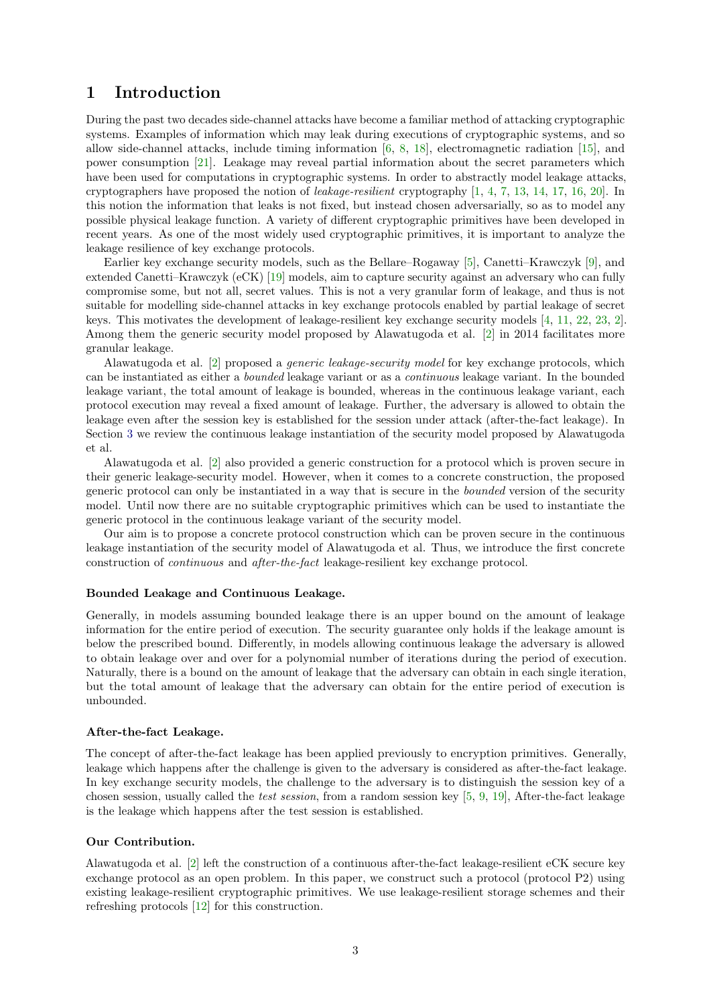## <span id="page-2-0"></span>1 Introduction

During the past two decades side-channel attacks have become a familiar method of attacking cryptographic systems. Examples of information which may leak during executions of cryptographic systems, and so allow side-channel attacks, include timing information [\[6,](#page-13-2) [8,](#page-13-3) [18\]](#page-14-1), electromagnetic radiation [\[15\]](#page-14-2), and power consumption [\[21\]](#page-14-3). Leakage may reveal partial information about the secret parameters which have been used for computations in cryptographic systems. In order to abstractly model leakage attacks, cryptographers have proposed the notion of *leakage-resilient* cryptography  $[1, 4, 7, 13, 14, 17, 16, 20]$  $[1, 4, 7, 13, 14, 17, 16, 20]$  $[1, 4, 7, 13, 14, 17, 16, 20]$  $[1, 4, 7, 13, 14, 17, 16, 20]$  $[1, 4, 7, 13, 14, 17, 16, 20]$  $[1, 4, 7, 13, 14, 17, 16, 20]$  $[1, 4, 7, 13, 14, 17, 16, 20]$  $[1, 4, 7, 13, 14, 17, 16, 20]$  $[1, 4, 7, 13, 14, 17, 16, 20]$  $[1, 4, 7, 13, 14, 17, 16, 20]$  $[1, 4, 7, 13, 14, 17, 16, 20]$  $[1, 4, 7, 13, 14, 17, 16, 20]$  $[1, 4, 7, 13, 14, 17, 16, 20]$  $[1, 4, 7, 13, 14, 17, 16, 20]$  $[1, 4, 7, 13, 14, 17, 16, 20]$ . In this notion the information that leaks is not fixed, but instead chosen adversarially, so as to model any possible physical leakage function. A variety of different cryptographic primitives have been developed in recent years. As one of the most widely used cryptographic primitives, it is important to analyze the leakage resilience of key exchange protocols.

Earlier key exchange security models, such as the Bellare–Rogaway [\[5\]](#page-13-9), Canetti–Krawczyk [\[9\]](#page-13-10), and extended Canetti–Krawczyk (eCK) [\[19\]](#page-14-7) models, aim to capture security against an adversary who can fully compromise some, but not all, secret values. This is not a very granular form of leakage, and thus is not suitable for modelling side-channel attacks in key exchange protocols enabled by partial leakage of secret keys. This motivates the development of leakage-resilient key exchange security models [\[4,](#page-13-5) [11,](#page-13-11) [22,](#page-14-8) [23,](#page-14-9) [2\]](#page-13-12). Among them the generic security model proposed by Alawatugoda et al. [\[2\]](#page-13-12) in 2014 facilitates more granular leakage.

Alawatugoda et al. [\[2\]](#page-13-12) proposed a generic leakage-security model for key exchange protocols, which can be instantiated as either a bounded leakage variant or as a continuous leakage variant. In the bounded leakage variant, the total amount of leakage is bounded, whereas in the continuous leakage variant, each protocol execution may reveal a fixed amount of leakage. Further, the adversary is allowed to obtain the leakage even after the session key is established for the session under attack (after-the-fact leakage). In Section [3](#page-5-0) we review the continuous leakage instantiation of the security model proposed by Alawatugoda et al.

Alawatugoda et al. [\[2\]](#page-13-12) also provided a generic construction for a protocol which is proven secure in their generic leakage-security model. However, when it comes to a concrete construction, the proposed generic protocol can only be instantiated in a way that is secure in the bounded version of the security model. Until now there are no suitable cryptographic primitives which can be used to instantiate the generic protocol in the continuous leakage variant of the security model.

Our aim is to propose a concrete protocol construction which can be proven secure in the continuous leakage instantiation of the security model of Alawatugoda et al. Thus, we introduce the first concrete construction of continuous and after-the-fact leakage-resilient key exchange protocol.

#### Bounded Leakage and Continuous Leakage.

Generally, in models assuming bounded leakage there is an upper bound on the amount of leakage information for the entire period of execution. The security guarantee only holds if the leakage amount is below the prescribed bound. Differently, in models allowing continuous leakage the adversary is allowed to obtain leakage over and over for a polynomial number of iterations during the period of execution. Naturally, there is a bound on the amount of leakage that the adversary can obtain in each single iteration, but the total amount of leakage that the adversary can obtain for the entire period of execution is unbounded.

#### After-the-fact Leakage.

The concept of after-the-fact leakage has been applied previously to encryption primitives. Generally, leakage which happens after the challenge is given to the adversary is considered as after-the-fact leakage. In key exchange security models, the challenge to the adversary is to distinguish the session key of a chosen session, usually called the test session, from a random session key [\[5,](#page-13-9) [9,](#page-13-10) [19\]](#page-14-7), After-the-fact leakage is the leakage which happens after the test session is established.

#### Our Contribution.

Alawatugoda et al. [\[2\]](#page-13-12) left the construction of a continuous after-the-fact leakage-resilient eCK secure key exchange protocol as an open problem. In this paper, we construct such a protocol (protocol P2) using existing leakage-resilient cryptographic primitives. We use leakage-resilient storage schemes and their refreshing protocols [\[12\]](#page-13-13) for this construction.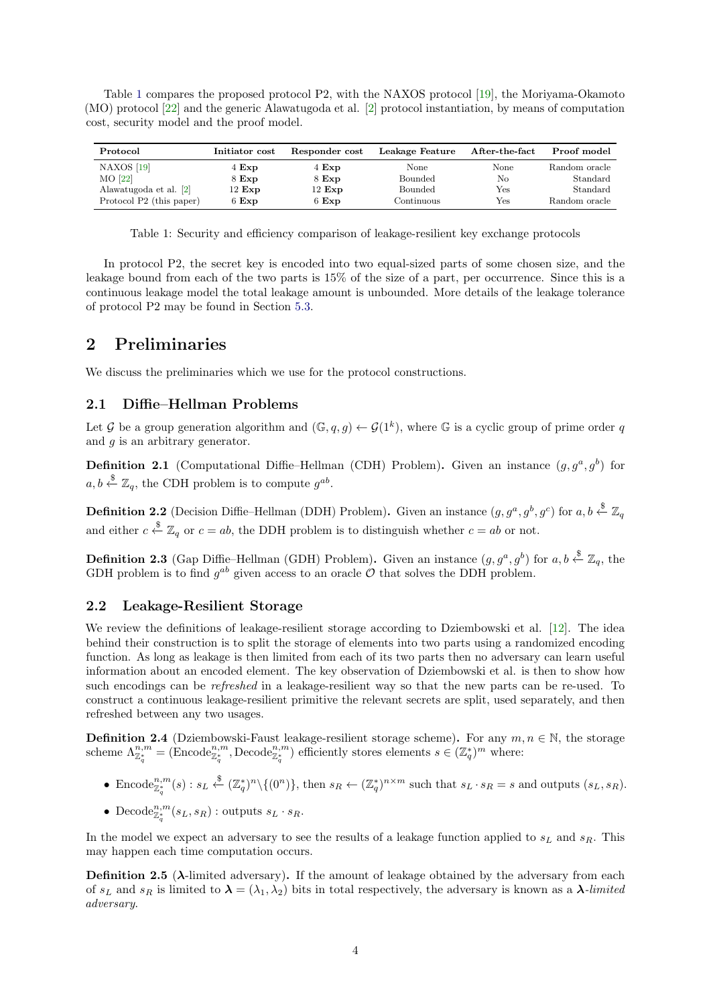Table [1](#page-3-3) compares the proposed protocol P2, with the NAXOS protocol [\[19\]](#page-14-7), the Moriyama-Okamoto (MO) protocol [\[22\]](#page-14-8) and the generic Alawatugoda et al. [\[2\]](#page-13-12) protocol instantiation, by means of computation cost, security model and the proof model.

<span id="page-3-3"></span>

| Protocol                 | Initiator cost   | Responder cost   | Leakage Feature | After-the-fact | Proof model   |
|--------------------------|------------------|------------------|-----------------|----------------|---------------|
| $NAXOS$ [19]             | 4 Exp            | $4$ Exp          | None            | None           | Random oracle |
| MO [22]                  | 8 <sub>Exp</sub> | 8 <sub>Exp</sub> | Bounded         | No             | Standard      |
| Alawatugoda et al. [2]   | $12$ Exp         | $12$ Exp         | Bounded         | Yes            | Standard      |
| Protocol P2 (this paper) | $6 \mathbf{Exp}$ | $6 \text{ Exp}$  | Continuous      | Yes            | Random oracle |

Table 1: Security and efficiency comparison of leakage-resilient key exchange protocols

In protocol P2, the secret key is encoded into two equal-sized parts of some chosen size, and the leakage bound from each of the two parts is 15% of the size of a part, per occurrence. Since this is a continuous leakage model the total leakage amount is unbounded. More details of the leakage tolerance of protocol P2 may be found in Section [5.3.](#page-12-0)

## <span id="page-3-0"></span>2 Preliminaries

We discuss the preliminaries which we use for the protocol constructions.

### <span id="page-3-1"></span>2.1 Diffie–Hellman Problems

Let G be a group generation algorithm and  $(\mathbb{G}, q, q) \leftarrow \mathcal{G}(1^k)$ , where G is a cyclic group of prime order q and  $q$  is an arbitrary generator.

**Definition 2.1** (Computational Diffie–Hellman (CDH) Problem). Given an instance  $(g, g^a, g^b)$  for  $a, b \stackrel{\$}{\leftarrow} \mathbb{Z}_q$ , the CDH problem is to compute  $g^{ab}$ .

**Definition 2.2** (Decision Diffie–Hellman (DDH) Problem). Given an instance  $(g, g^a, g^b, g^c)$  for  $a, b \stackrel{\$}{\leftarrow} \mathbb{Z}_q$ and either  $c \stackrel{\$}{\leftarrow} \mathbb{Z}_q$  or  $c = ab$ , the DDH problem is to distinguish whether  $c = ab$  or not.

**Definition 2.3** (Gap Diffie–Hellman (GDH) Problem). Given an instance  $(g, g^a, g^b)$  for  $a, b \stackrel{\$}{\leftarrow} \mathbb{Z}_q$ , the GDH problem is to find  $g^{ab}$  given access to an oracle  $\mathcal O$  that solves the DDH problem.

#### <span id="page-3-2"></span>2.2 Leakage-Resilient Storage

We review the definitions of leakage-resilient storage according to Dziembowski et al. [\[12\]](#page-13-13). The idea behind their construction is to split the storage of elements into two parts using a randomized encoding function. As long as leakage is then limited from each of its two parts then no adversary can learn useful information about an encoded element. The key observation of Dziembowski et al. is then to show how such encodings can be *refreshed* in a leakage-resilient way so that the new parts can be re-used. To construct a continuous leakage-resilient primitive the relevant secrets are split, used separately, and then refreshed between any two usages.

<span id="page-3-4"></span>**Definition 2.4** (Dziembowski-Faust leakage-resilient storage scheme). For any  $m, n \in \mathbb{N}$ , the storage scheme  $\Lambda^{n,m}_{\mathbb{Z}_q^*} = (\text{Encode}_{\mathbb{Z}_q^*}^{n,m}, \text{Decode}_{\mathbb{Z}_q^*}^{n,m})$  efficiently stores elements  $s \in (\mathbb{Z}_q^*)^m$  where:

- Encode<sup>n,m</sup>(s):  $s_L \stackrel{\$}{\leftarrow} (\mathbb{Z}_q^*)^n \setminus \{(0^n)\}\$ , then  $s_R \leftarrow (\mathbb{Z}_q^*)^{n \times m}$  such that  $s_L \cdot s_R = s$  and outputs  $(s_L, s_R)$ .
- Decode $\sum_{\alpha=1}^{n,m} (s_L, s_R)$ : outputs  $s_L \cdot s_R$ .

In the model we expect an adversary to see the results of a leakage function applied to  $s<sub>L</sub>$  and  $s<sub>R</sub>$ . This may happen each time computation occurs.

Definition 2.5 (λ-limited adversary). If the amount of leakage obtained by the adversary from each of  $s_L$  and  $s_R$  is limited to  $\lambda = (\lambda_1, \lambda_2)$  bits in total respectively, the adversary is known as a  $\lambda$ -limited adversary.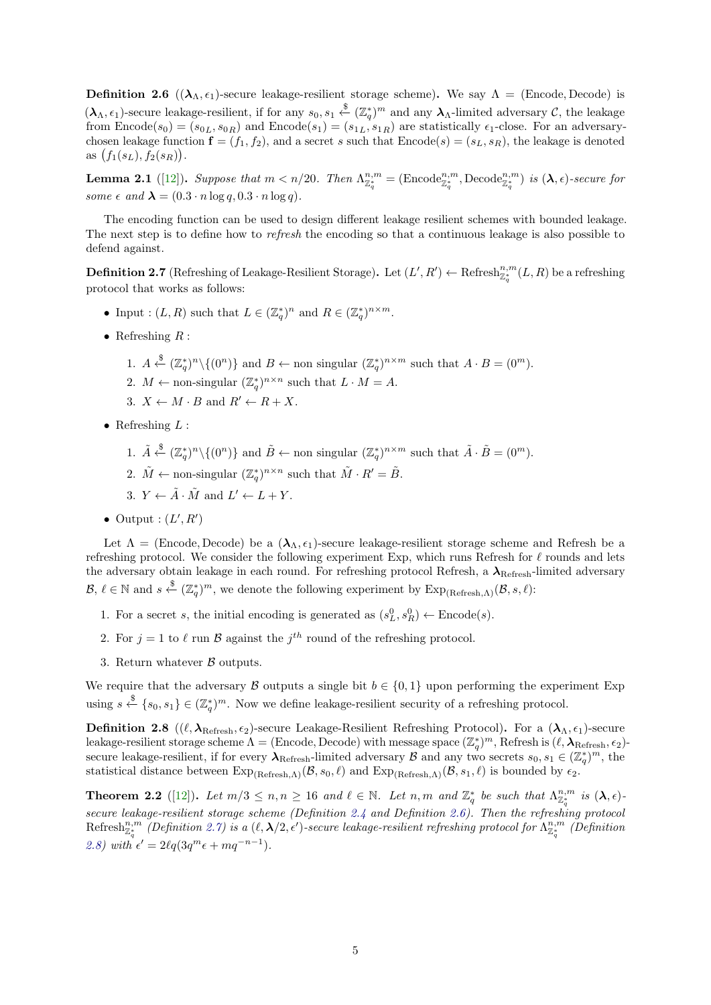<span id="page-4-0"></span>**Definition 2.6** (( $\lambda_{\Lambda}, \epsilon_1$ )-secure leakage-resilient storage scheme). We say  $\Lambda =$  (Encode, Decode) is  $(\lambda_{\Lambda}, \epsilon_1)$ -secure leakage-resilient, if for any  $s_0, s_1 \stackrel{\$}{\leftarrow} (\mathbb{Z}_q^*)^m$  and any  $\lambda_{\Lambda}$ -limited adversary C, the leakage from  $\text{Encode}(s_0) = (s_{0L}, s_{0R})$  and  $\text{Encode}(s_1) = (s_{1L}, s_{1R})$  are statistically  $\epsilon_1$ -close. For an adversarychosen leakage function  $f = (f_1, f_2)$ , and a secret s such that  $\text{Encode}(s) = (s_L, s_R)$ , the leakage is denoted as  $(f_1(s_L), f_2(s_R)).$ 

<span id="page-4-3"></span>**Lemma 2.1** ([\[12\]](#page-13-13)). Suppose that  $m < n/20$ . Then  $\Lambda_{\mathbb{Z}_q^*}^{n,m} = (\text{Encode}_{\mathbb{Z}_q^*}^{n,m}, \text{Decode}_{\mathbb{Z}_q^*}^{n,m})$  is  $(\lambda, \epsilon)$ -secure for some  $\epsilon$  and  $\lambda = (0.3 \cdot n \log q, 0.3 \cdot n \log q)$ .

The encoding function can be used to design different leakage resilient schemes with bounded leakage. The next step is to define how to *refresh* the encoding so that a continuous leakage is also possible to defend against.

<span id="page-4-1"></span>**Definition 2.7** (Refreshing of Leakage-Resilient Storage). Let  $(L', R') \leftarrow \text{Refresh}_{\mathbb{Z}_q^*}^{n,m}(L, R)$  be a refreshing protocol that works as follows:

- Input :  $(L, R)$  such that  $L \in (\mathbb{Z}_q^*)^n$  and  $R \in (\mathbb{Z}_q^*)^{n \times m}$ .
- Refreshing  $R$ :
	- 1.  $A \stackrel{\$}{\leftarrow} (\mathbb{Z}_q^*)^n \setminus \{(0^n)\}\$ and  $B \leftarrow \text{non singular } (\mathbb{Z}_q^*)^{n \times m}$  such that  $A \cdot B = (0^m)$ .
	- 2.  $M \leftarrow$  non-singular  $(\mathbb{Z}_q^*)^{n \times n}$  such that  $L \cdot M = A$ .
	- 3.  $X \leftarrow M \cdot B$  and  $R' \leftarrow R + X$ .
- Refreshing  $L$  :
	- 1.  $\tilde{A} \stackrel{\$}{\leftarrow} (\mathbb{Z}_q^*)^n \setminus \{(0^n)\}\$ and  $\tilde{B} \leftarrow \text{non singular } (\mathbb{Z}_q^*)^{n \times m}$  such that  $\tilde{A} \cdot \tilde{B} = (0^m)$ .
	- 2.  $\tilde{M} \leftarrow$  non-singular  $(\mathbb{Z}_q^*)^{n \times n}$  such that  $\tilde{M} \cdot R' = \tilde{B}$ .
	- 3.  $Y \leftarrow \tilde{A} \cdot \tilde{M}$  and  $L' \leftarrow L + Y$ .
- Output :  $(L', R')$

Let  $\Lambda$  = (Encode, Decode) be a  $(\lambda_{\Lambda}, \epsilon_1)$ -secure leakage-resilient storage scheme and Refresh be a refreshing protocol. We consider the following experiment Exp, which runs Refresh for  $\ell$  rounds and lets the adversary obtain leakage in each round. For refreshing protocol Refresh, a  $\lambda_{\text{Refresh}}$ -limited adversary  $\mathcal{B}, \ell \in \mathbb{N}$  and  $s \stackrel{\$}{\leftarrow} (\mathbb{Z}_q^*)^m$ , we denote the following experiment by  $\text{Exp}_{(Refresh, \Lambda)}(\mathcal{B}, s, \ell)$ :

- 1. For a secret s, the initial encoding is generated as  $(s_L^0, s_R^0) \leftarrow$  Encode(s).
- 2. For  $j = 1$  to  $\ell$  run  $\beta$  against the  $j<sup>th</sup>$  round of the refreshing protocol.
- 3. Return whatever B outputs.

We require that the adversary B outputs a single bit  $b \in \{0,1\}$  upon performing the experiment Exp using  $s \stackrel{\$}{\leftarrow} \{s_0, s_1\} \in (\mathbb{Z}_q^*)^m$ . Now we define leakage-resilient security of a refreshing protocol.

<span id="page-4-2"></span>**Definition 2.8** (( $\ell$ ,  $\lambda_{\text{Refresh}}$ ,  $\epsilon_2$ )-secure Leakage-Resilient Refreshing Protocol). For a  $(\lambda_{\Lambda}, \epsilon_1)$ -secure leakage-resilient storage scheme  $\Lambda = ($ Encode, Decode) with message space  $(\mathbb{Z}_q^*)^m$ , Refresh is  $(\ell, \lambda_{\text{Refresh}}, \epsilon_2)$ secure leakage-resilient, if for every  $\lambda_{\text{Refresh}}$ -limited adversary  $\beta$  and any two secrets  $s_0, s_1 \in (\mathbb{Z}_q^*)^m$ , the statistical distance between  $Exp_{(Refresh, \Lambda)}(\mathcal{B}, s_0, \ell)$  and  $Exp_{(Refresh, \Lambda)}(\mathcal{B}, s_1, \ell)$  is bounded by  $\epsilon_2$ .

<span id="page-4-4"></span>**Theorem 2.2** ([\[12\]](#page-13-13)). Let  $m/3 \le n, n \ge 16$  and  $\ell \in \mathbb{N}$ . Let  $n, m$  and  $\mathbb{Z}_q^*$  be such that  $\Lambda^{n,m}_{\mathbb{Z}_q^*}$  is  $(\lambda, \epsilon)$ . secure leakage-resilient storage scheme (Definition [2.4](#page-3-4) and Definition [2.6\)](#page-4-0). Then the refreshing protocol  $\text{Refresh}_{\mathbb{Z}_q^*}^{n,m}$  (Definition [2.7\)](#page-4-1) is a  $(\ell, \lambda/2, \epsilon')$ -secure leakage-resilient refreshing protocol for  $\Lambda^{n,m}_{\mathbb{Z}_q^*}$  (Definition [2.8\)](#page-4-2) with  $\epsilon' = 2\ell q (3q^m \epsilon + mq^{-n-1}).$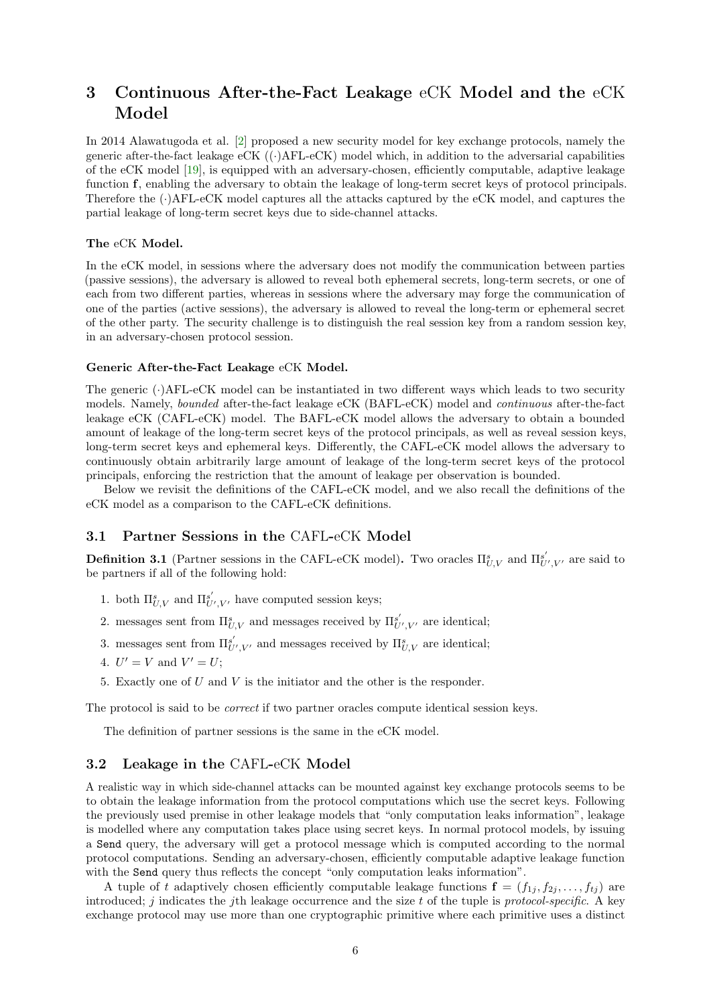## <span id="page-5-0"></span>3 Continuous After-the-Fact Leakage eCK Model and the eCK Model

In 2014 Alawatugoda et al. [\[2\]](#page-13-12) proposed a new security model for key exchange protocols, namely the generic after-the-fact leakage eCK  $((.)$ AFL-eCK) model which, in addition to the adversarial capabilities of the eCK model [\[19\]](#page-14-7), is equipped with an adversary-chosen, efficiently computable, adaptive leakage function f, enabling the adversary to obtain the leakage of long-term secret keys of protocol principals. Therefore the (·)AFL-eCK model captures all the attacks captured by the eCK model, and captures the partial leakage of long-term secret keys due to side-channel attacks.

#### The eCK Model.

In the eCK model, in sessions where the adversary does not modify the communication between parties (passive sessions), the adversary is allowed to reveal both ephemeral secrets, long-term secrets, or one of each from two different parties, whereas in sessions where the adversary may forge the communication of one of the parties (active sessions), the adversary is allowed to reveal the long-term or ephemeral secret of the other party. The security challenge is to distinguish the real session key from a random session key, in an adversary-chosen protocol session.

#### Generic After-the-Fact Leakage eCK Model.

The generic ( $\cdot$ )AFL-eCK model can be instantiated in two different ways which leads to two security models. Namely, bounded after-the-fact leakage eCK (BAFL-eCK) model and continuous after-the-fact leakage eCK (CAFL-eCK) model. The BAFL-eCK model allows the adversary to obtain a bounded amount of leakage of the long-term secret keys of the protocol principals, as well as reveal session keys, long-term secret keys and ephemeral keys. Differently, the CAFL-eCK model allows the adversary to continuously obtain arbitrarily large amount of leakage of the long-term secret keys of the protocol principals, enforcing the restriction that the amount of leakage per observation is bounded.

Below we revisit the definitions of the CAFL-eCK model, and we also recall the definitions of the eCK model as a comparison to the CAFL-eCK definitions.

### <span id="page-5-1"></span>3.1 Partner Sessions in the CAFL-eCK Model

**Definition 3.1** (Partner sessions in the CAFL-eCK model). Two oracles  $\Pi_{U,V}^s$  and  $\Pi_{U',V'}^{s'}$  are said to be partners if all of the following hold:

- 1. both  $\Pi_{U,V}^s$  and  $\Pi_{U',V'}^{s'}$  have computed session keys;
- 2. messages sent from  $\Pi_{U,V}^s$  and messages received by  $\Pi_{U',V'}^{s'}$ , are identical;
- 3. messages sent from  $\Pi_{U',V'}^{s'}$  and messages received by  $\Pi_{U,V}^{s}$  are identical;
- 4.  $U' = V$  and  $V' = U$ ;
- 5. Exactly one of  $U$  and  $V$  is the initiator and the other is the responder.

The protocol is said to be correct if two partner oracles compute identical session keys.

The definition of partner sessions is the same in the eCK model.

#### <span id="page-5-2"></span>3.2 Leakage in the CAFL-eCK Model

A realistic way in which side-channel attacks can be mounted against key exchange protocols seems to be to obtain the leakage information from the protocol computations which use the secret keys. Following the previously used premise in other leakage models that "only computation leaks information", leakage is modelled where any computation takes place using secret keys. In normal protocol models, by issuing a Send query, the adversary will get a protocol message which is computed according to the normal protocol computations. Sending an adversary-chosen, efficiently computable adaptive leakage function with the Send query thus reflects the concept "only computation leaks information".

A tuple of t adaptively chosen efficiently computable leakage functions  $f = (f_{1i}, f_{2i}, \ldots, f_{ti})$  are introduced; j indicates the jth leakage occurrence and the size t of the tuple is protocol-specific. A key exchange protocol may use more than one cryptographic primitive where each primitive uses a distinct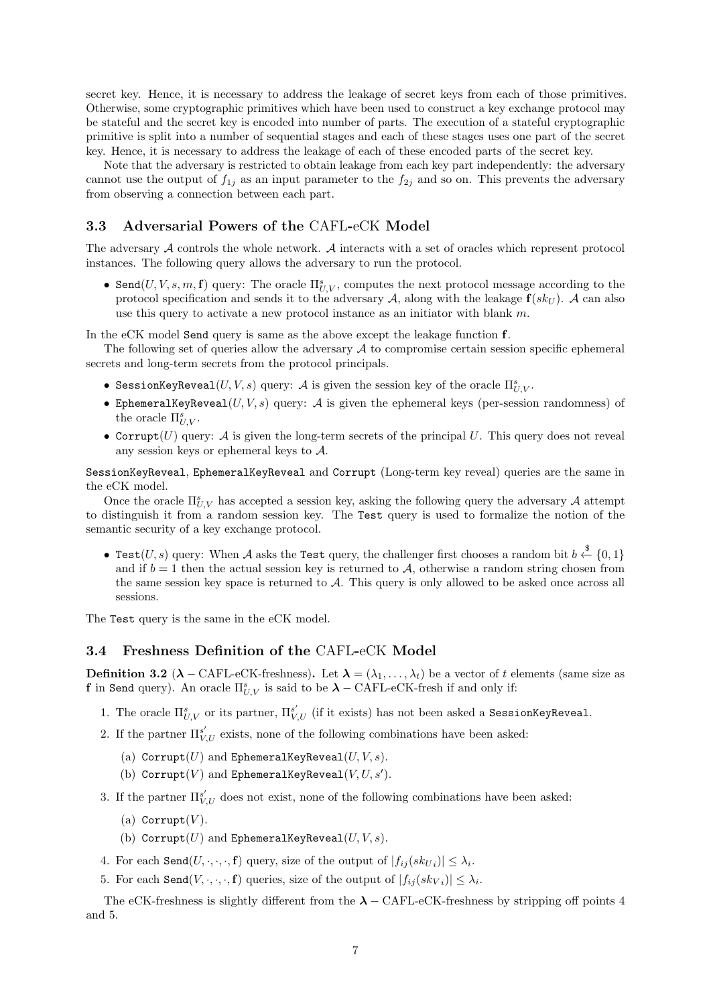secret key. Hence, it is necessary to address the leakage of secret keys from each of those primitives. Otherwise, some cryptographic primitives which have been used to construct a key exchange protocol may be stateful and the secret key is encoded into number of parts. The execution of a stateful cryptographic primitive is split into a number of sequential stages and each of these stages uses one part of the secret key. Hence, it is necessary to address the leakage of each of these encoded parts of the secret key.

Note that the adversary is restricted to obtain leakage from each key part independently: the adversary cannot use the output of  $f_{1i}$  as an input parameter to the  $f_{2i}$  and so on. This prevents the adversary from observing a connection between each part.

#### <span id="page-6-0"></span>3.3 Adversarial Powers of the CAFL-eCK Model

The adversary  $A$  controls the whole network.  $A$  interacts with a set of oracles which represent protocol instances. The following query allows the adversary to run the protocol.

• Send $(U, V, s, m, f)$  query: The oracle  $\Pi_{U, V}^s$ , computes the next protocol message according to the protocol specification and sends it to the adversary A, along with the leakage  $f(s_{kU})$ . A can also use this query to activate a new protocol instance as an initiator with blank  $m$ .

In the eCK model Send query is same as the above except the leakage function  $f$ .

The following set of queries allow the adversary  $A$  to compromise certain session specific ephemeral secrets and long-term secrets from the protocol principals.

- SessionKeyReveal(U, V, s) query: A is given the session key of the oracle  $\Pi_{U,V}^s$ .
- EphemeralKeyReveal $(U, V, s)$  query: A is given the ephemeral keys (per-session randomness) of the oracle  $\Pi_{U,V}^s$ .
- Corrupt $(U)$  query: A is given the long-term secrets of the principal U. This query does not reveal any session keys or ephemeral keys to A.

SessionKeyReveal, EphemeralKeyReveal and Corrupt (Long-term key reveal) queries are the same in the eCK model.

Once the oracle  $\Pi_{U,V}^s$  has accepted a session key, asking the following query the adversary A attempt to distinguish it from a random session key. The Test query is used to formalize the notion of the semantic security of a key exchange protocol.

• Test $(U,s)$  query: When  ${\mathcal{A}}$  asks the Test query, the challenger first chooses a random bit  $b \overset{\$}{\leftarrow} \{ 0,1 \}$ and if  $b = 1$  then the actual session key is returned to A, otherwise a random string chosen from the same session key space is returned to  $A$ . This query is only allowed to be asked once across all sessions.

The Test query is the same in the eCK model.

#### <span id="page-6-1"></span>3.4 Freshness Definition of the CAFL-eCK Model

**Definition 3.2** ( $\lambda$  – CAFL-eCK-freshness). Let  $\lambda = (\lambda_1, \ldots, \lambda_t)$  be a vector of t elements (same size as f in Send query). An oracle  $\Pi_{U,V}^s$  is said to be  $\lambda$  – CAFL-eCK-fresh if and only if:

- 1. The oracle  $\Pi^s_{U,V}$  or its partner,  $\Pi^{s'}_{V,U}$  (if it exists) has not been asked a SessionKeyReveal.
- 2. If the partner  $\Pi_{V,U}^{s'}$  exists, none of the following combinations have been asked:
	- (a) Corrupt $(U)$  and EphemeralKeyReveal $(U, V, s)$ .
	- (b) Corrupt $(V)$  and EphemeralKeyReveal $(V, U, s')$ .
- 3. If the partner  $\Pi_{V,U}^{s'}$  does not exist, none of the following combinations have been asked:
	- (a) Corrupt $(V)$ .
	- (b) Corrupt $(U)$  and EphemeralKeyReveal $(U, V, s)$ .
- 4. For each  $\texttt{Send}(U,\cdot,\cdot,\cdot,\mathbf{f})$  query, size of the output of  $|f_{ij}(sk_{U_i})| \leq \lambda_i$ .
- 5. For each  $\texttt{Send}(V, \cdot, \cdot, \cdot, \mathbf{f})$  queries, size of the output of  $|f_{ij}(sk_{Vi})| \leq \lambda_i$ .

The eCK-freshness is slightly different from the  $\lambda$  – CAFL-eCK-freshness by stripping off points 4 and 5.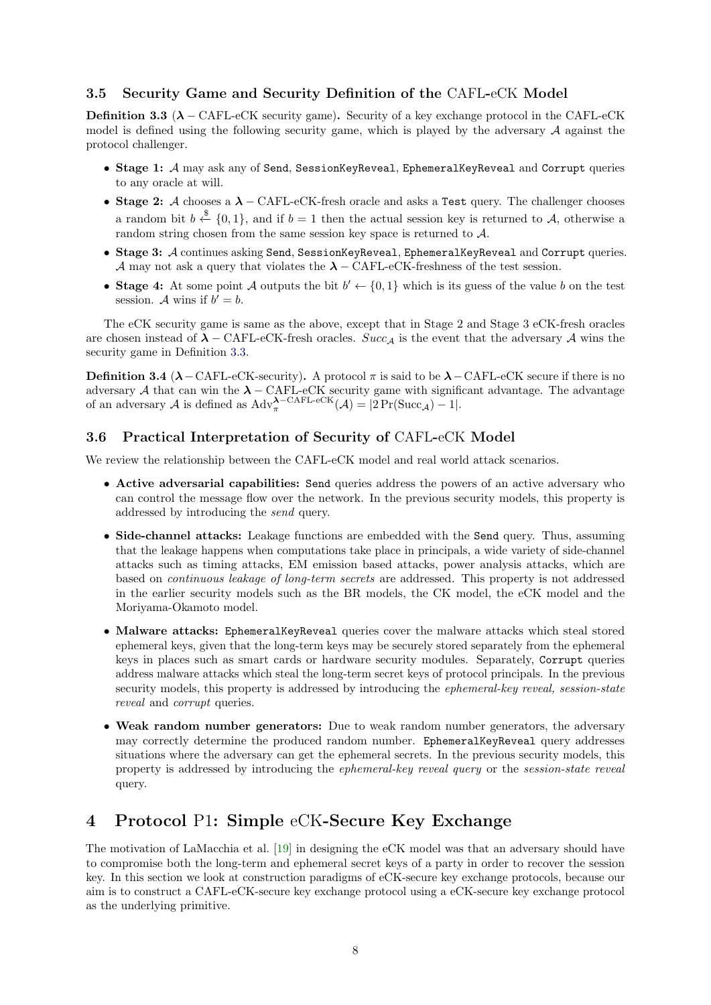### <span id="page-7-0"></span>3.5 Security Game and Security Definition of the CAFL-eCK Model

<span id="page-7-3"></span>**Definition 3.3** ( $\lambda$  – CAFL-eCK security game). Security of a key exchange protocol in the CAFL-eCK model is defined using the following security game, which is played by the adversary  $A$  against the protocol challenger.

- Stage 1: A may ask any of Send, SessionKeyReveal, EphemeralKeyReveal and Corrupt queries to any oracle at will.
- Stage 2: A chooses a  $\lambda$  CAFL-eCK-fresh oracle and asks a Test query. The challenger chooses a random bit  $b \stackrel{\$}{\leftarrow} \{0,1\}$ , and if  $b=1$  then the actual session key is returned to A, otherwise a random string chosen from the same session key space is returned to A.
- Stage 3: A continues asking Send, SessionKeyReveal, EphemeralKeyReveal and Corrupt queries. A may not ask a query that violates the  $\lambda$  – CAFL-eCK-freshness of the test session.
- Stage 4: At some point A outputs the bit  $b' \leftarrow \{0,1\}$  which is its guess of the value b on the test session. A wins if  $b' = b$ .

The eCK security game is same as the above, except that in Stage 2 and Stage 3 eCK-fresh oracles are chosen instead of  $\lambda$  – CAFL-eCK-fresh oracles. Succ<sub>A</sub> is the event that the adversary A wins the security game in Definition [3.3.](#page-7-3)

**Definition 3.4** ( $\lambda$  – CAFL-eCK-security). A protocol  $\pi$  is said to be  $\lambda$  – CAFL-eCK secure if there is no adversary A that can win the  $\lambda$  – CAFL-eCK security game with significant advantage. The advantage of an adversary A is defined as  $\text{Adv}_{\pi}^{\lambda-\text{CAFL-eCK}}(\mathcal{A}) = |2 \text{Pr}(\text{Succ}_{\mathcal{A}}) - 1|$ .

### <span id="page-7-1"></span>3.6 Practical Interpretation of Security of CAFL-eCK Model

We review the relationship between the CAFL-eCK model and real world attack scenarios.

- Active adversarial capabilities: Send queries address the powers of an active adversary who can control the message flow over the network. In the previous security models, this property is addressed by introducing the send query.
- Side-channel attacks: Leakage functions are embedded with the Send query. Thus, assuming that the leakage happens when computations take place in principals, a wide variety of side-channel attacks such as timing attacks, EM emission based attacks, power analysis attacks, which are based on continuous leakage of long-term secrets are addressed. This property is not addressed in the earlier security models such as the BR models, the CK model, the eCK model and the Moriyama-Okamoto model.
- Malware attacks: EphemeralKeyReveal queries cover the malware attacks which steal stored ephemeral keys, given that the long-term keys may be securely stored separately from the ephemeral keys in places such as smart cards or hardware security modules. Separately, Corrupt queries address malware attacks which steal the long-term secret keys of protocol principals. In the previous security models, this property is addressed by introducing the *ephemeral-key reveal, session-state* reveal and corrupt queries.
- Weak random number generators: Due to weak random number generators, the adversary may correctly determine the produced random number. EphemeralKeyReveal query addresses situations where the adversary can get the ephemeral secrets. In the previous security models, this property is addressed by introducing the ephemeral-key reveal query or the session-state reveal query.

## <span id="page-7-2"></span>4 Protocol P1: Simple eCK-Secure Key Exchange

The motivation of LaMacchia et al. [\[19\]](#page-14-7) in designing the eCK model was that an adversary should have to compromise both the long-term and ephemeral secret keys of a party in order to recover the session key. In this section we look at construction paradigms of eCK-secure key exchange protocols, because our aim is to construct a CAFL-eCK-secure key exchange protocol using a eCK-secure key exchange protocol as the underlying primitive.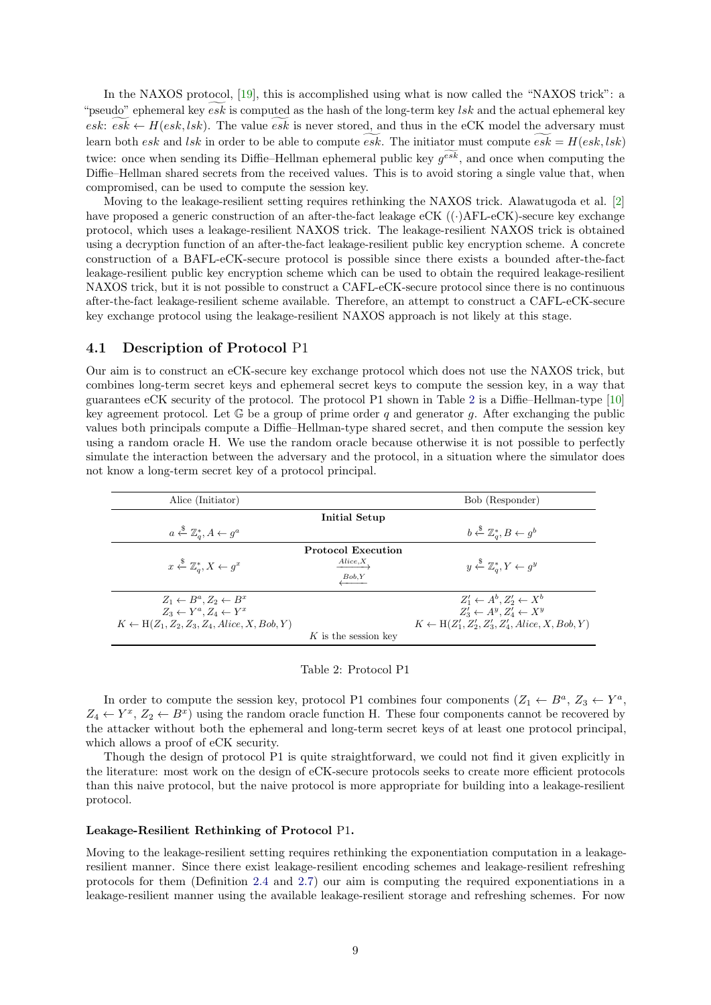In the NAXOS protocol, [\[19\]](#page-14-7), this is accomplished using what is now called the "NAXOS trick": a "pseudo" ephemeral key esk is computed as the hash of the long-term key lsk and the actual ephemeral key esk: esk  $\leftarrow$  H(esk, lsk). The value esk is never stored, and thus in the eCK model the adversary must learn both esk and lsk in order to be able to compute  $\widetilde{esk}$ . The initiator must compute  $\widetilde{esk} = H(esk, lsk)$ twice: once when sending its Diffie–Hellman ephemeral public key  $g^{esk}$ , and once when computing the Diffie–Hellman shared secrets from the received values. This is to avoid storing a single value that, when compromised, can be used to compute the session key.

Moving to the leakage-resilient setting requires rethinking the NAXOS trick. Alawatugoda et al. [\[2\]](#page-13-12) have proposed a generic construction of an after-the-fact leakage eCK  $((.)$ AFL-eCK)-secure key exchange protocol, which uses a leakage-resilient NAXOS trick. The leakage-resilient NAXOS trick is obtained using a decryption function of an after-the-fact leakage-resilient public key encryption scheme. A concrete construction of a BAFL-eCK-secure protocol is possible since there exists a bounded after-the-fact leakage-resilient public key encryption scheme which can be used to obtain the required leakage-resilient NAXOS trick, but it is not possible to construct a CAFL-eCK-secure protocol since there is no continuous after-the-fact leakage-resilient scheme available. Therefore, an attempt to construct a CAFL-eCK-secure key exchange protocol using the leakage-resilient NAXOS approach is not likely at this stage.

#### <span id="page-8-0"></span>4.1 Description of Protocol P1

Our aim is to construct an eCK-secure key exchange protocol which does not use the NAXOS trick, but combines long-term secret keys and ephemeral secret keys to compute the session key, in a way that guarantees eCK security of the protocol. The protocol P1 shown in Table [2](#page-8-1) is a Diffie–Hellman-type [\[10\]](#page-13-14) key agreement protocol. Let  $\mathbb G$  be a group of prime order q and generator g. After exchanging the public values both principals compute a Diffie–Hellman-type shared secret, and then compute the session key using a random oracle H. We use the random oracle because otherwise it is not possible to perfectly simulate the interaction between the adversary and the protocol, in a situation where the simulator does not know a long-term secret key of a protocol principal.

<span id="page-8-1"></span>

| Alice (Initiator)                                                                                                                              |                                                          | Bob (Responder)                                                                                                                                        |  |  |  |
|------------------------------------------------------------------------------------------------------------------------------------------------|----------------------------------------------------------|--------------------------------------------------------------------------------------------------------------------------------------------------------|--|--|--|
| Initial Setup                                                                                                                                  |                                                          |                                                                                                                                                        |  |  |  |
| $a \stackrel{\$}{\leftarrow} \mathbb{Z}_q^*, A \leftarrow g^a$                                                                                 |                                                          | $b \stackrel{\$}{\leftarrow} \mathbb{Z}_a^*, B \leftarrow g^b$                                                                                         |  |  |  |
| $x \stackrel{\$}{\leftarrow} \mathbb{Z}_a^*, X \leftarrow g^x$                                                                                 | <b>Protocol Execution</b><br>Alice, X<br>$\beta^{Bob,Y}$ | $y \stackrel{\$}{\leftarrow} \mathbb{Z}_a^*, Y \leftarrow g^y$                                                                                         |  |  |  |
| $Z_1 \leftarrow B^a, Z_2 \leftarrow B^x$<br>$Z_3 \leftarrow Y^a, Z_4 \leftarrow Y^x$<br>$K \leftarrow H(Z_1, Z_2, Z_3, Z_4, Alice, X, Bob, Y)$ | $K$ is the session key                                   | $Z'_1 \leftarrow A^b, Z'_2 \leftarrow X^b$<br>$Z'_3 \leftarrow A^y, Z'_4 \leftarrow X^y$<br>$K \leftarrow H(Z'_1, Z'_2, Z'_3, Z'_4, Alice, X, Bob, Y)$ |  |  |  |

#### Table 2: Protocol P1

In order to compute the session key, protocol P1 combines four components  $(Z_1 \leftarrow B^a, Z_3 \leftarrow Y^a,$  $Z_4 \leftarrow Y^x, Z_2 \leftarrow B^x$  using the random oracle function H. These four components cannot be recovered by the attacker without both the ephemeral and long-term secret keys of at least one protocol principal, which allows a proof of eCK security.

Though the design of protocol P1 is quite straightforward, we could not find it given explicitly in the literature: most work on the design of eCK-secure protocols seeks to create more efficient protocols than this naive protocol, but the naive protocol is more appropriate for building into a leakage-resilient protocol.

#### Leakage-Resilient Rethinking of Protocol P1.

Moving to the leakage-resilient setting requires rethinking the exponentiation computation in a leakageresilient manner. Since there exist leakage-resilient encoding schemes and leakage-resilient refreshing protocols for them (Definition [2.4](#page-3-4) and [2.7\)](#page-4-1) our aim is computing the required exponentiations in a leakage-resilient manner using the available leakage-resilient storage and refreshing schemes. For now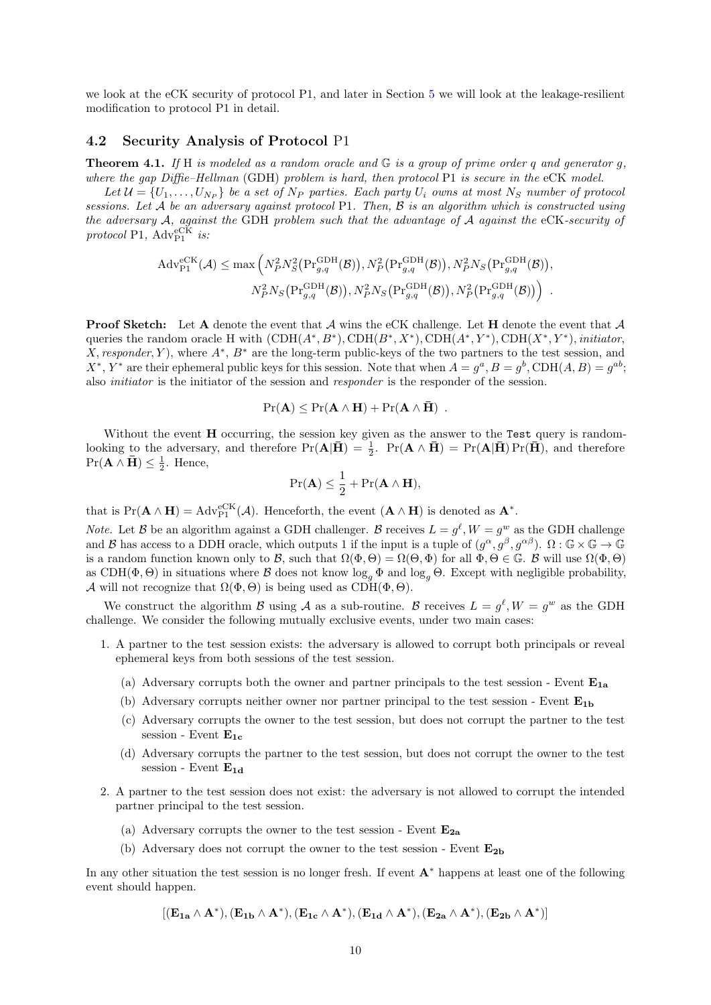we look at the eCK security of protocol P1, and later in Section [5](#page-10-0) we will look at the leakage-resilient modification to protocol P1 in detail.

#### <span id="page-9-0"></span>4.2 Security Analysis of Protocol P1

<span id="page-9-1"></span>**Theorem 4.1.** If H is modeled as a random oracle and  $\mathbb{G}$  is a group of prime order q and generator g, where the gap Diffie–Hellman (GDH) problem is hard, then protocol P1 is secure in the eCK model.

Let  $\mathcal{U} = \{U_1, \ldots, U_{N_P}\}$  be a set of  $N_P$  parties. Each party  $U_i$  owns at most  $N_S$  number of protocol sessions. Let  $A$  be an adversary against protocol P1. Then,  $B$  is an algorithm which is constructed using the adversary  $A$ , against the GDH problem such that the advantage of  $A$  against the eCK-security of protocol P1,  $\text{Adv}_{\text{P1}}^{\text{eCK}}$  is:

$$
Adv_{P1}^{eCK}(\mathcal{A}) \le \max \left(N_P^2 N_S^2 \left( \Pr_{g,q}^{\text{GDH}}(\mathcal{B}) \right), N_P^2 \left( \Pr_{g,q}^{\text{GDH}}(\mathcal{B}) \right), N_P^2 N_S \left( \Pr_{g,q}^{\text{GDH}}(\mathcal{B}) \right), \right.
$$

$$
N_P^2 N_S \left( \Pr_{g,q}^{\text{GDH}}(\mathcal{B}) \right), N_P^2 N_S \left( \Pr_{g,q}^{\text{GDH}}(\mathcal{B}) \right), N_P^2 \left( \Pr_{g,q}^{\text{GDH}}(\mathcal{B}) \right) \right) .
$$

**Proof Sketch:** Let A denote the event that A wins the eCK challenge. Let H denote the event that A queries the random oracle H with  $(CDH(A^*, B^*), CDH(B^*, X^*), CDH(A^*, Y^*), CDH(X^*, Y^*), initiator,$ X, responder, Y), where  $A^*$ ,  $B^*$  are the long-term public-keys of the two partners to the test session, and  $X^*$ ,  $Y^*$  are their ephemeral public keys for this session. Note that when  $A = g^a$ ,  $B = g^b$ , CDH(A, B) =  $g^{ab}$ ; also initiator is the initiator of the session and responder is the responder of the session.

$$
\Pr(\mathbf{A}) \leq \Pr(\mathbf{A} \wedge \mathbf{H}) + \Pr(\mathbf{A} \wedge \bar{\mathbf{H}}) \enspace .
$$

Without the event **H** occurring, the session key given as the answer to the Test query is randomlooking to the adversary, and therefore  $Pr(A|\bar{H}) = \frac{1}{2}$ .  $Pr(A \wedge \bar{H}) = Pr(A|\bar{H})Pr(\bar{H})$ , and therefore  $Pr(\mathbf{A} \wedge \mathbf{\bar{H}}) \leq \frac{1}{2}$ . Hence,

$$
\Pr(\mathbf{A}) \le \frac{1}{2} + \Pr(\mathbf{A} \wedge \mathbf{H}),
$$

that is  $Pr(\mathbf{A} \wedge \mathbf{H}) = \text{Adv}_{P1}^{eCK}(\mathcal{A})$ . Henceforth, the event  $(\mathbf{A} \wedge \mathbf{H})$  is denoted as  $\mathbf{A}^*$ .

*Note*. Let B be an algorithm against a GDH challenger. B receives  $L = g^{\ell}$ ,  $W = g^w$  as the GDH challenge and B has access to a DDH oracle, which outputs 1 if the input is a tuple of  $(g^{\alpha}, g^{\beta}, g^{\alpha\beta})$ .  $\Omega : \mathbb{G} \times \mathbb{G} \to \mathbb{G}$ is a random function known only to B, such that  $\Omega(\Phi, \Theta) = \Omega(\Theta, \Phi)$  for all  $\Phi, \Theta \in \mathbb{G}$ . B will use  $\Omega(\Phi, \Theta)$ as CDH( $\Phi$ , $\Theta$ ) in situations where  $\mathcal B$  does not know  $\log_a \Phi$  and  $\log_a \Theta$ . Except with negligible probability, A will not recognize that  $\Omega(\Phi,\Theta)$  is being used as CDH( $\Phi,\Theta$ ).

We construct the algorithm B using A as a sub-routine. B receives  $L = g^{\ell}, W = g^w$  as the GDH challenge. We consider the following mutually exclusive events, under two main cases:

- 1. A partner to the test session exists: the adversary is allowed to corrupt both principals or reveal ephemeral keys from both sessions of the test session.
	- (a) Adversary corrupts both the owner and partner principals to the test session Event  $E_{1a}$
	- (b) Adversary corrupts neither owner nor partner principal to the test session Event  $E_{1b}$
	- (c) Adversary corrupts the owner to the test session, but does not corrupt the partner to the test session - Event  $E_{1c}$
	- (d) Adversary corrupts the partner to the test session, but does not corrupt the owner to the test session - Event  $E_{1d}$
- 2. A partner to the test session does not exist: the adversary is not allowed to corrupt the intended partner principal to the test session.
	- (a) Adversary corrupts the owner to the test session Event  $E_{2a}$
	- (b) Adversary does not corrupt the owner to the test session Event  $E_{2b}$

In any other situation the test session is no longer fresh. If event A<sup>∗</sup> happens at least one of the following event should happen.

 $[\textbf{(E_{1a}\wedge A^*},\textbf{(E_{1b}\wedge A^*}),\textbf{(E_{1c}\wedge A^*}),\textbf{(E_{1d}\wedge A^*)},\textbf{(E_{2a}\wedge A^*)},\textbf{(E_{2b}\wedge A^*)}]$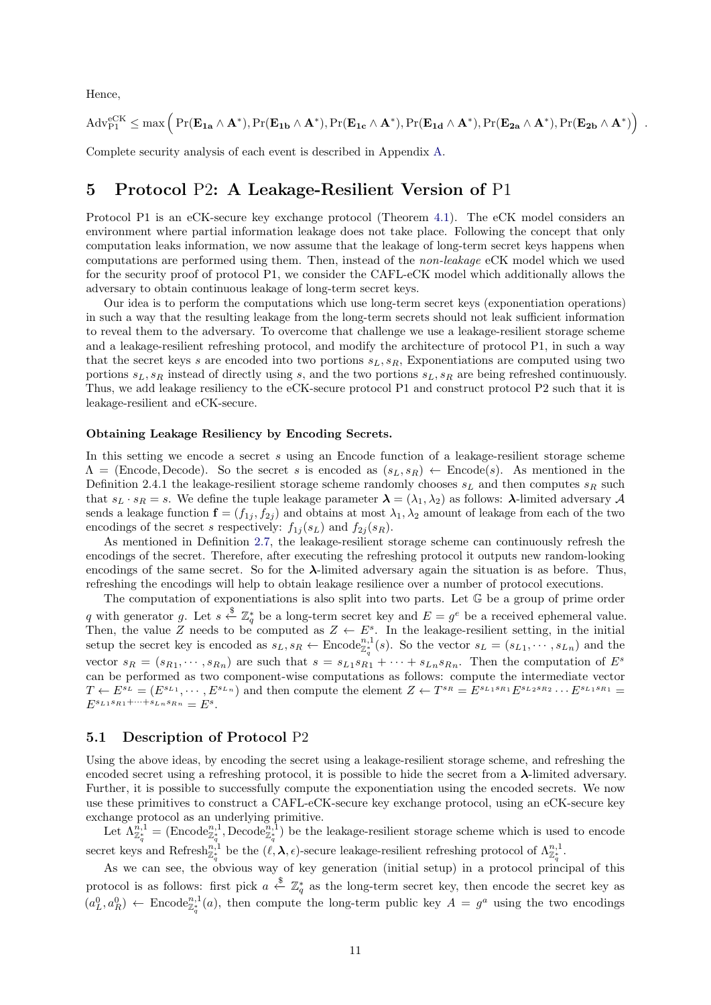Hence,

$$
\mathrm{Adv}_{\mathrm{P1}}^{\mathrm{eCK}} \leq \max\Big(\Pr(\mathbf{E_{1a}} \wedge \mathbf{A}^*), \Pr(\mathbf{E_{1b}} \wedge \mathbf{A}^*), \Pr(\mathbf{E_{1c}} \wedge \mathbf{A}^*), \Pr(\mathbf{E_{1d}} \wedge \mathbf{A}^*), \Pr(\mathbf{E_{2a}} \wedge \mathbf{A}^*), \Pr(\mathbf{E_{2b}} \wedge \mathbf{A}^*)\Big) \enspace .
$$

Complete security analysis of each event is described in Appendix [A.](#page-14-0)

### <span id="page-10-0"></span>5 Protocol P2: A Leakage-Resilient Version of P1

Protocol P1 is an eCK-secure key exchange protocol (Theorem [4.1\)](#page-9-1). The eCK model considers an environment where partial information leakage does not take place. Following the concept that only computation leaks information, we now assume that the leakage of long-term secret keys happens when computations are performed using them. Then, instead of the non-leakage eCK model which we used for the security proof of protocol P1, we consider the CAFL-eCK model which additionally allows the adversary to obtain continuous leakage of long-term secret keys.

Our idea is to perform the computations which use long-term secret keys (exponentiation operations) in such a way that the resulting leakage from the long-term secrets should not leak sufficient information to reveal them to the adversary. To overcome that challenge we use a leakage-resilient storage scheme and a leakage-resilient refreshing protocol, and modify the architecture of protocol P1, in such a way that the secret keys s are encoded into two portions  $s_L, s_R$ , Exponentiations are computed using two portions  $s_L, s_R$  instead of directly using s, and the two portions  $s_L, s_R$  are being refreshed continuously. Thus, we add leakage resiliency to the eCK-secure protocol P1 and construct protocol P2 such that it is leakage-resilient and eCK-secure.

#### Obtaining Leakage Resiliency by Encoding Secrets.

In this setting we encode a secret s using an Encode function of a leakage-resilient storage scheme  $\Lambda =$  (Encode, Decode). So the secret s is encoded as  $(s_L, s_R) \leftarrow$  Encode(s). As mentioned in the Definition 2.4.1 the leakage-resilient storage scheme randomly chooses  $s<sub>L</sub>$  and then computes  $s<sub>R</sub>$  such that  $s_L \cdot s_R = s$ . We define the tuple leakage parameter  $\lambda = (\lambda_1, \lambda_2)$  as follows:  $\lambda$ -limited adversary  $\mathcal A$ sends a leakage function  $\mathbf{f} = (f_{1j}, f_{2j})$  and obtains at most  $\lambda_1, \lambda_2$  amount of leakage from each of the two encodings of the secret s respectively:  $f_{1j}(s_L)$  and  $f_{2j}(s_R)$ .

As mentioned in Definition [2.7,](#page-4-1) the leakage-resilient storage scheme can continuously refresh the encodings of the secret. Therefore, after executing the refreshing protocol it outputs new random-looking encodings of the same secret. So for the  $\lambda$ -limited adversary again the situation is as before. Thus, refreshing the encodings will help to obtain leakage resilience over a number of protocol executions.

The computation of exponentiations is also split into two parts. Let G be a group of prime order q with generator g. Let  $s \stackrel{\$}{\leftarrow} \mathbb{Z}_q^*$  be a long-term secret key and  $E = g^e$  be a received ephemeral value. Then, the value Z needs to be computed as  $Z \leftarrow E^s$ . In the leakage-resilient setting, in the initial setup the secret key is encoded as  $s_L, s_R \leftarrow \text{Encode}_{\mathbb{Z}_q^*}^{n,1}(s)$ . So the vector  $s_L = (s_{L1}, \cdots, s_{Ln})$  and the vector  $s_R = (s_{R1}, \dots, s_{Rn})$  are such that  $s = s_{L1} s_{R1} + \dots + s_{Ln} s_{Rn}$ . Then the computation of  $E^s$ can be performed as two component-wise computations as follows: compute the intermediate vector  $T \leftarrow E^{s_L} = (E^{s_{L_1}}, \cdots, E^{s_{Ln}})$  and then compute the element  $Z \leftarrow T^{s_R} = E^{s_{L_1}s_{R_1}}E^{s_{L_2}s_{R_2}}\cdots E^{s_{L_1}s_{R_1}} =$  $E^{s_{L_1}s_{R_1}+\cdots+s_{L_n}s_{R_n}} = E^s.$ 

#### <span id="page-10-1"></span>5.1 Description of Protocol P2

Using the above ideas, by encoding the secret using a leakage-resilient storage scheme, and refreshing the encoded secret using a refreshing protocol, it is possible to hide the secret from a  $\lambda$ -limited adversary. Further, it is possible to successfully compute the exponentiation using the encoded secrets. We now use these primitives to construct a CAFL-eCK-secure key exchange protocol, using an eCK-secure key exchange protocol as an underlying primitive.

Let  $\Lambda_{\mathbb{Z}_q^*}^{n,1} = (\text{Encode}_{\mathbb{Z}_q^*}^{n,1}, \text{Decode}_{\mathbb{Z}_q^*})$  be the leakage-resilient storage scheme which is used to encode secret keys and Refresh $\mathbb{Z}_{\xi}^{n,1}$  be the  $(\ell, \lambda, \epsilon)$ -secure leakage-resilient refreshing protocol of  $\Lambda_{\mathbb{Z}_{q}^{*}}^{n,1}$ .

As we can see, the obvious way of key generation (initial setup) in a protocol principal of this protocol is as follows: first pick  $a \stackrel{\$}{\leftarrow} \mathbb{Z}_q^*$  as the long-term secret key, then encode the secret key as  $(a_L^0, a_R^0) \leftarrow$  Encode<sup>n,1</sup>(a), then compute the long-term public key  $A = g^a$  using the two encodings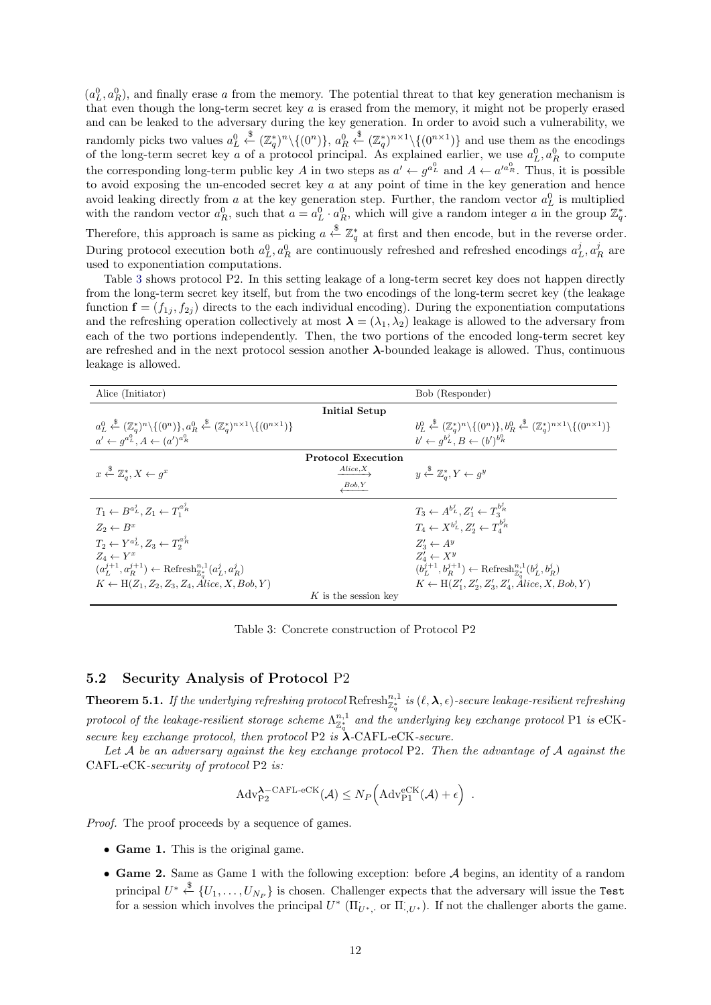$(a<sub>L</sub><sup>0</sup>, a<sub>R</sub><sup>0</sup>)$ , and finally erase a from the memory. The potential threat to that key generation mechanism is that even though the long-term secret key a is erased from the memory, it might not be properly erased and can be leaked to the adversary during the key generation. In order to avoid such a vulnerability, we randomly picks two values  $a_L^0$  $\xleftarrow{\$} (\mathbb{Z}_q^*)^n \setminus \{(0^n)\}, a_R^0$  $\overset{\$}{\leftarrow}$  (Z<sup>\*</sup><sub>q</sub>)<sup>n×1</sup>\{(0<sup>n×1</sup>)} and use them as the encodings of the long-term secret key a of a protocol principal. As explained earlier, we use  $a_L^0, a_R^0$  to compute the corresponding long-term public key A in two steps as  $a' \leftarrow g^{a_L^0}$  and  $A \leftarrow a'^{a_R^0}$ . Thus, it is possible to avoid exposing the un-encoded secret key  $a$  at any point of time in the key generation and hence avoid leaking directly from a at the key generation step. Further, the random vector  $a<sub>L</sub><sup>0</sup>$  is multiplied with the random vector  $a_R^0$ , such that  $a = a_L^0 \cdot a_R^0$ , which will give a random integer a in the group  $\mathbb{Z}_q^*$ . Therefore, this approach is same as picking  $a \stackrel{\$}{\leftarrow} \mathbb{Z}_q^*$  at first and then encode, but in the reverse order. During protocol execution both  $a_L^0, a_R^0$  are continuously refreshed and refreshed encodings  $a_L^j, a_R^j$  are used to exponentiation computations.

Table [3](#page-11-1) shows protocol P2. In this setting leakage of a long-term secret key does not happen directly from the long-term secret key itself, but from the two encodings of the long-term secret key (the leakage function  $\mathbf{f} = (f_{1i}, f_{2i})$  directs to the each individual encoding). During the exponentiation computations and the refreshing operation collectively at most  $\lambda = (\lambda_1, \lambda_2)$  leakage is allowed to the adversary from each of the two portions independently. Then, the two portions of the encoded long-term secret key are refreshed and in the next protocol session another  $\lambda$ -bounded leakage is allowed. Thus, continuous leakage is allowed.

<span id="page-11-1"></span>

| Alice (Initiator)                                                                                                                                                                                          |                           | Bob (Responder)                                                                                                                                                                                            |
|------------------------------------------------------------------------------------------------------------------------------------------------------------------------------------------------------------|---------------------------|------------------------------------------------------------------------------------------------------------------------------------------------------------------------------------------------------------|
|                                                                                                                                                                                                            | Initial Setup             |                                                                                                                                                                                                            |
| $a_L^0 \xleftarrow{\$} (\mathbb{Z}_a^*)^n \setminus \{(0^n)\}, a_R^0 \xleftarrow{\$} (\mathbb{Z}_a^*)^{n \times 1} \setminus \{(0^{n \times 1})\}$<br>$a' \leftarrow q^{a_L^0}, A \leftarrow (a')^{a_R^0}$ |                           | $b_L^0 \xleftarrow{\$} (\mathbb{Z}_a^*)^n \setminus \{(0^n)\}, b_R^0 \xleftarrow{\$} (\mathbb{Z}_a^*)^{n \times 1} \setminus \{(0^{n \times 1})\}$<br>$b' \leftarrow g^{b_L^j}, B \leftarrow (b')^{b_R^0}$ |
|                                                                                                                                                                                                            | <b>Protocol Execution</b> |                                                                                                                                                                                                            |
| $x \stackrel{\$}{\leftarrow} \mathbb{Z}_q^*, X \leftarrow g^x$                                                                                                                                             | $\xrightarrow{Alice, X}$  | $y \stackrel{\$}{\leftarrow} \mathbb{Z}_a^*, Y \leftarrow g^y$                                                                                                                                             |
|                                                                                                                                                                                                            | $_{\rho}$ Bob,Y           |                                                                                                                                                                                                            |
| $T_1 \leftarrow B^{a_L^j}, Z_1 \leftarrow T_1^{a_R^j}$                                                                                                                                                     |                           | $T_3 \leftarrow A^{b_L^j}, Z'_1 \leftarrow T_3^{b_R^j}$                                                                                                                                                    |
| $Z_2 \leftarrow B^x$                                                                                                                                                                                       |                           | $T_4 \leftarrow X^{b_L^j}, Z_2' \leftarrow T_A^{b_R^j}$                                                                                                                                                    |
| $T_2 \leftarrow Y^{a_L^j}, Z_3 \leftarrow T_2^{a_R^j}$                                                                                                                                                     |                           | $Z'_3 \leftarrow A^y$                                                                                                                                                                                      |
| $Z_4 \leftarrow Y^x$                                                                                                                                                                                       |                           | $Z'_4 \leftarrow X^y$                                                                                                                                                                                      |
| $(a_L^{j+1}, a_R^{j+1}) \leftarrow \text{References} h_{\mathbb{Z}_c^*}^{n,1}(a_L^j, a_R^j)$                                                                                                               |                           | $(b_L^{j+1}, b_R^{j+1}) \leftarrow \text{References}_{\mathbb{Z}_{\ast}^{*}}^{n,1}(b_L^j, b_R^j)$                                                                                                          |
| $K \leftarrow H(Z_1, Z_2, Z_3, Z_4, Alice, X, Bob, Y)$                                                                                                                                                     |                           | $K \leftarrow H(Z'_1, Z'_2, Z'_3, Z'_4, Alice, X, Bob, Y)$                                                                                                                                                 |
|                                                                                                                                                                                                            | $K$ is the session key    |                                                                                                                                                                                                            |

Table 3: Concrete construction of Protocol P2

#### <span id="page-11-0"></span>5.2 Security Analysis of Protocol P2

**Theorem 5.1.** If the underlying refreshing protocol  $\mathrm{Refresh}_{\mathbb{Z}_q^*}^{n,1}$  is  $(\ell, \lambda, \epsilon)$ -secure leakage-resilient refreshing protocol of the leakage-resilient storage scheme  $\Lambda^{n,1}_{\mathbb{Z}_q^*}$  and the underlying key exchange protocol P1 is eCKsecure key exchange protocol, then protocol P2 is  $\lambda$ -CAFL-eCK-secure.

Let A be an adversary against the key exchange protocol P2. Then the advantage of A against the CAFL-eCK-security of protocol P2 is:

$$
\mathrm{Adv}_{\mathrm{P2}}^{\lambda-\mathrm{CAFL\text{-}eCK}}(\mathcal{A}) \leq N_P \Big( \mathrm{Adv}_{\mathrm{P1}}^{\mathrm{eCK}}(\mathcal{A}) + \epsilon \Big) .
$$

Proof. The proof proceeds by a sequence of games.

- Game 1. This is the original game.
- Game 2. Same as Game 1 with the following exception: before  $A$  begins, an identity of a random principal  $U^* \stackrel{\$}{\leftarrow} \{U_1,\ldots,U_{N_P}\}$  is chosen. Challenger expects that the adversary will issue the Test for a session which involves the principal  $U^*$  ( $\Pi_{U^*}$ , or  $\Pi_{U^*}$ ). If not the challenger aborts the game.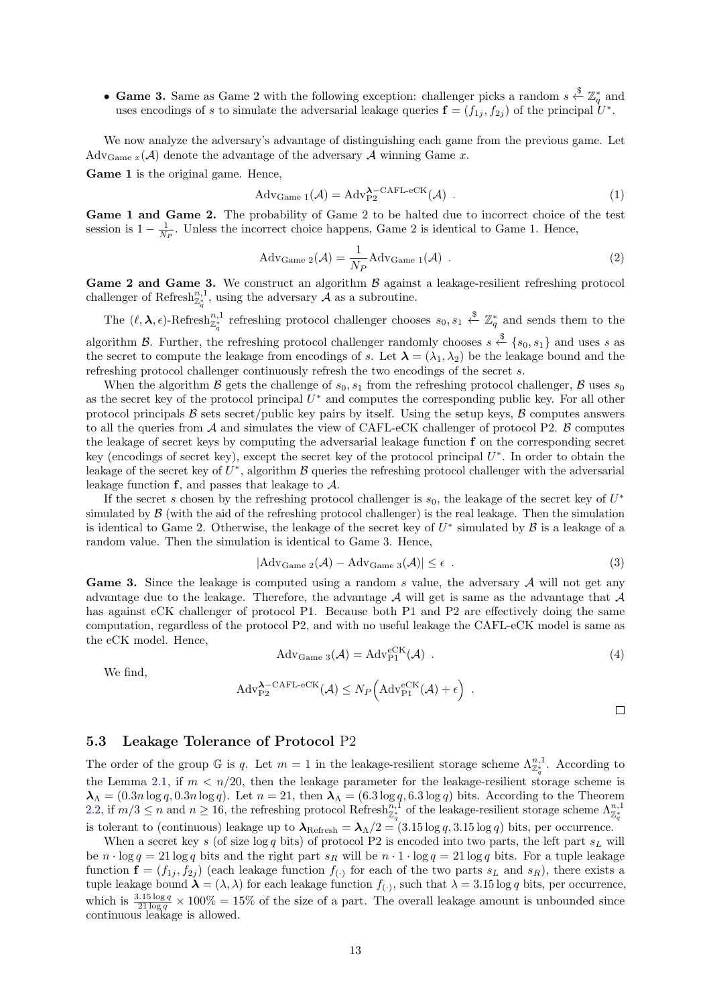• Game 3. Same as Game 2 with the following exception: challenger picks a random  $s \stackrel{\$}{\leftarrow} \mathbb{Z}_q^*$  and uses encodings of s to simulate the adversarial leakage queries  $\mathbf{f} = (f_{1j}, f_{2j})$  of the principal  $U^*$ .

We now analyze the adversary's advantage of distinguishing each game from the previous game. Let Adv<sub>Game x</sub>( $A$ ) denote the advantage of the adversary A winning Game x.

Game 1 is the original game. Hence,

$$
Adv_{Game 1}(\mathcal{A}) = Adv_{P2}^{\lambda - CAFL \cdot eCK}(\mathcal{A}) . \qquad (1)
$$

Game 1 and Game 2. The probability of Game 2 to be halted due to incorrect choice of the test session is  $1 - \frac{1}{N_P}$ . Unless the incorrect choice happens, Game 2 is identical to Game 1. Hence,

$$
Adv_{Game 2}(\mathcal{A}) = \frac{1}{N_P} Adv_{Game 1}(\mathcal{A}) .
$$
 (2)

**Game 2 and Game 3.** We construct an algorithm  $\beta$  against a leakage-resilient refreshing protocol challenger of Refresh $_{\mathbb{Z}_q^*}^{n,1}$ , using the adversary  $\mathcal A$  as a subroutine.

The  $(\ell, \lambda, \epsilon)$ -Refresh $n_{\mathbb{Z}_q^*}^{n,1}$  refreshing protocol challenger chooses  $s_0, s_1 \stackrel{\$}{\leftarrow} \mathbb{Z}_q^*$  and sends them to the algorithm B. Further, the refreshing protocol challenger randomly chooses  $s \stackrel{\$}{\leftarrow} \{s_0, s_1\}$  and uses s as the secret to compute the leakage from encodings of s. Let  $\lambda = (\lambda_1, \lambda_2)$  be the leakage bound and the refreshing protocol challenger continuously refresh the two encodings of the secret s.

When the algorithm  $\mathcal B$  gets the challenge of  $s_0, s_1$  from the refreshing protocol challenger,  $\mathcal B$  uses  $s_0$ as the secret key of the protocol principal  $U^*$  and computes the corresponding public key. For all other protocol principals  $\beta$  sets secret/public key pairs by itself. Using the setup keys,  $\beta$  computes answers to all the queries from  $A$  and simulates the view of CAFL-eCK challenger of protocol P2.  $\beta$  computes the leakage of secret keys by computing the adversarial leakage function f on the corresponding secret key (encodings of secret key), except the secret key of the protocol principal  $U^*$ . In order to obtain the leakage of the secret key of  $U^*$ , algorithm  $\mathcal B$  queries the refreshing protocol challenger with the adversarial leakage function f, and passes that leakage to A.

If the secret s chosen by the refreshing protocol challenger is  $s_0$ , the leakage of the secret key of  $U^*$ simulated by  $\beta$  (with the aid of the refreshing protocol challenger) is the real leakage. Then the simulation is identical to Game 2. Otherwise, the leakage of the secret key of  $U^*$  simulated by  $\mathcal B$  is a leakage of a random value. Then the simulation is identical to Game 3. Hence,

$$
|\mathrm{Adv}_{\mathrm{Game 2}}(\mathcal{A}) - \mathrm{Adv}_{\mathrm{Game 3}}(\mathcal{A})| \le \epsilon \tag{3}
$$

**Game 3.** Since the leakage is computed using a random s value, the adversary  $\mathcal A$  will not get any advantage due to the leakage. Therefore, the advantage  $A$  will get is same as the advantage that  $A$ has against eCK challenger of protocol P1. Because both P1 and P2 are effectively doing the same computation, regardless of the protocol P2, and with no useful leakage the CAFL-eCK model is same as the eCK model. Hence,

$$
Adv_{Game 3}(\mathcal{A}) = Adv_{P1}^{eCK}(\mathcal{A}) . \tag{4}
$$

We find,

$$
\mathrm{Adv}_{P2}^{\lambda-\mathrm{CAFL\text{-}}eCK}(\mathcal{A}) \leq N_P \Big(\mathrm{Adv}_{P1}^{eCK}(\mathcal{A}) + \epsilon\Big) .
$$

#### <span id="page-12-0"></span>5.3 Leakage Tolerance of Protocol P2

The order of the group  $\mathbb G$  is q. Let  $m=1$  in the leakage-resilient storage scheme  $\Lambda^{n,1}_{\mathbb Z_q^*}$ . According to the Lemma [2.1,](#page-4-3) if  $m < n/20$ , then the leakage parameter for the leakage-resilient storage scheme is  $\lambda_{\Lambda} = (0.3n \log q, 0.3n \log q)$ . Let  $n = 21$ , then  $\lambda_{\Lambda} = (6.3 \log q, 6.3 \log q)$  bits. According to the Theorem [2.2,](#page-4-4) if  $m/3 \le n$  and  $n \ge 16$ , the refreshing protocol Refresh<sup>n,1</sup> of the leakage-resilient storage scheme  $\Lambda^{n,1}_{\mathbb{Z}_q^*}$ is tolerant to (continuous) leakage up to  $\lambda_{\text{Refresh}} = \lambda_{\Lambda}/2 = (3.15 \log q, 3.15 \log q)$  bits, per occurrence.

When a secret key s (of size  $log q$  bits) of protocol P2 is encoded into two parts, the left part  $s_L$  will be  $n \cdot \log q = 21 \log q$  bits and the right part  $s_R$  will be  $n \cdot 1 \cdot \log q = 21 \log q$  bits. For a tuple leakage function  $f = (f_{1j}, f_{2j})$  (each leakage function  $f_{(\cdot)}$  for each of the two parts  $s_L$  and  $s_R$ ), there exists a tuple leakage bound  $\lambda = (\lambda, \lambda)$  for each leakage function  $f_{(\cdot)}$ , such that  $\lambda = 3.15 \log q$  bits, per occurrence, which is  $\frac{3.15 \log q}{21 \log q} \times 100\% = 15\%$  of the size of a part. The overall leakage amount is unbounded since continuous leakage is allowed.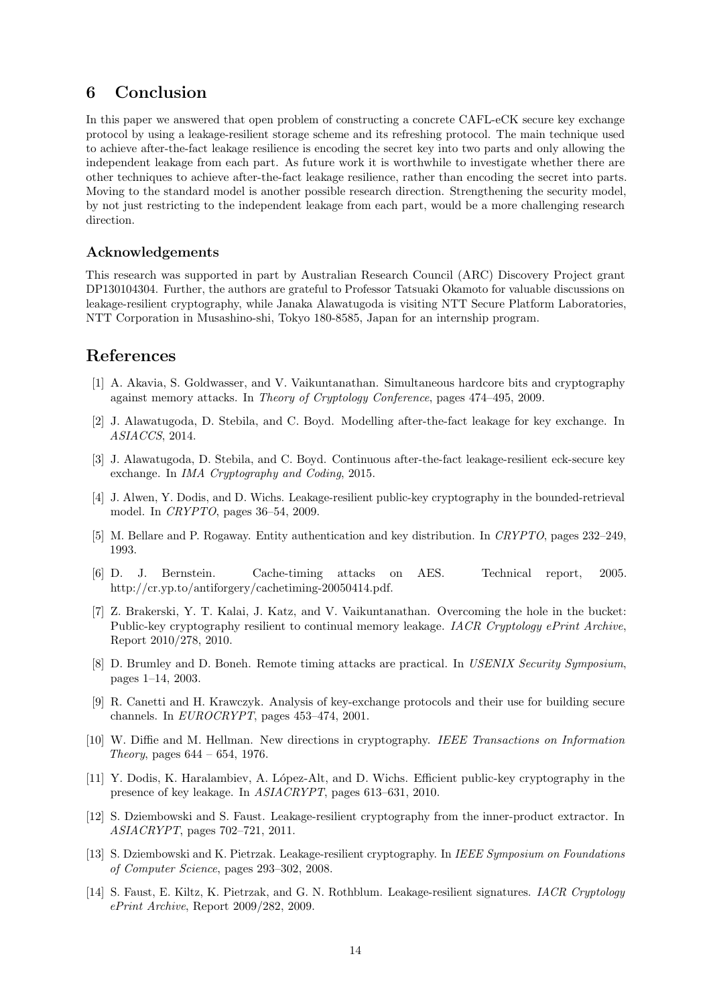## <span id="page-13-1"></span>6 Conclusion

In this paper we answered that open problem of constructing a concrete CAFL-eCK secure key exchange protocol by using a leakage-resilient storage scheme and its refreshing protocol. The main technique used to achieve after-the-fact leakage resilience is encoding the secret key into two parts and only allowing the independent leakage from each part. As future work it is worthwhile to investigate whether there are other techniques to achieve after-the-fact leakage resilience, rather than encoding the secret into parts. Moving to the standard model is another possible research direction. Strengthening the security model, by not just restricting to the independent leakage from each part, would be a more challenging research direction.

#### Acknowledgements

This research was supported in part by Australian Research Council (ARC) Discovery Project grant DP130104304. Further, the authors are grateful to Professor Tatsuaki Okamoto for valuable discussions on leakage-resilient cryptography, while Janaka Alawatugoda is visiting NTT Secure Platform Laboratories, NTT Corporation in Musashino-shi, Tokyo 180-8585, Japan for an internship program.

## References

- <span id="page-13-4"></span>[1] A. Akavia, S. Goldwasser, and V. Vaikuntanathan. Simultaneous hardcore bits and cryptography against memory attacks. In Theory of Cryptology Conference, pages 474–495, 2009.
- <span id="page-13-12"></span>[2] J. Alawatugoda, D. Stebila, and C. Boyd. Modelling after-the-fact leakage for key exchange. In ASIACCS, 2014.
- <span id="page-13-0"></span>[3] J. Alawatugoda, D. Stebila, and C. Boyd. Continuous after-the-fact leakage-resilient eck-secure key exchange. In IMA Cryptography and Coding, 2015.
- <span id="page-13-5"></span>[4] J. Alwen, Y. Dodis, and D. Wichs. Leakage-resilient public-key cryptography in the bounded-retrieval model. In CRYPTO, pages 36–54, 2009.
- <span id="page-13-9"></span>[5] M. Bellare and P. Rogaway. Entity authentication and key distribution. In CRYPTO, pages 232–249, 1993.
- <span id="page-13-2"></span>[6] D. J. Bernstein. Cache-timing attacks on AES. Technical report, 2005. http://cr.yp.to/antiforgery/cachetiming-20050414.pdf.
- <span id="page-13-6"></span>[7] Z. Brakerski, Y. T. Kalai, J. Katz, and V. Vaikuntanathan. Overcoming the hole in the bucket: Public-key cryptography resilient to continual memory leakage. IACR Cryptology ePrint Archive, Report 2010/278, 2010.
- <span id="page-13-3"></span>[8] D. Brumley and D. Boneh. Remote timing attacks are practical. In USENIX Security Symposium, pages 1–14, 2003.
- <span id="page-13-10"></span>[9] R. Canetti and H. Krawczyk. Analysis of key-exchange protocols and their use for building secure channels. In EUROCRYPT, pages 453–474, 2001.
- <span id="page-13-14"></span>[10] W. Diffie and M. Hellman. New directions in cryptography. IEEE Transactions on Information Theory, pages  $644 - 654$ , 1976.
- <span id="page-13-11"></span>[11] Y. Dodis, K. Haralambiev, A. López-Alt, and D. Wichs. Efficient public-key cryptography in the presence of key leakage. In ASIACRYPT, pages 613–631, 2010.
- <span id="page-13-13"></span>[12] S. Dziembowski and S. Faust. Leakage-resilient cryptography from the inner-product extractor. In ASIACRYPT, pages 702–721, 2011.
- <span id="page-13-7"></span>[13] S. Dziembowski and K. Pietrzak. Leakage-resilient cryptography. In IEEE Symposium on Foundations of Computer Science, pages 293–302, 2008.
- <span id="page-13-8"></span>[14] S. Faust, E. Kiltz, K. Pietrzak, and G. N. Rothblum. Leakage-resilient signatures. IACR Cryptology ePrint Archive, Report 2009/282, 2009.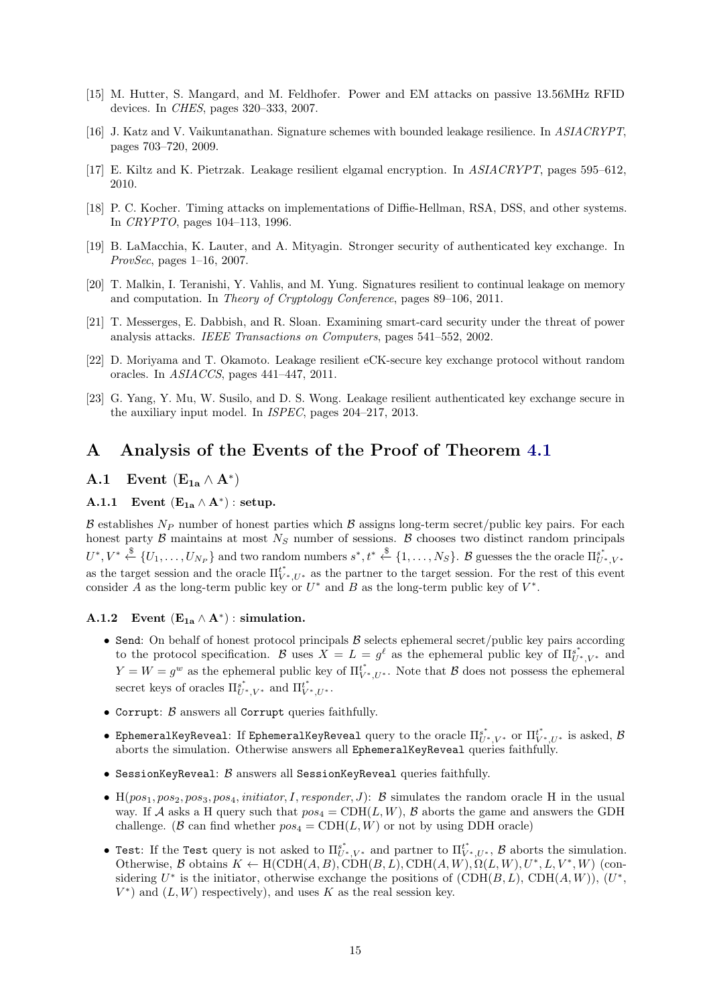- <span id="page-14-2"></span>[15] M. Hutter, S. Mangard, and M. Feldhofer. Power and EM attacks on passive 13.56MHz RFID devices. In CHES, pages 320–333, 2007.
- <span id="page-14-5"></span>[16] J. Katz and V. Vaikuntanathan. Signature schemes with bounded leakage resilience. In ASIACRYPT, pages 703–720, 2009.
- <span id="page-14-4"></span>[17] E. Kiltz and K. Pietrzak. Leakage resilient elgamal encryption. In ASIACRYPT, pages 595–612, 2010.
- <span id="page-14-1"></span>[18] P. C. Kocher. Timing attacks on implementations of Diffie-Hellman, RSA, DSS, and other systems. In CRYPTO, pages 104–113, 1996.
- <span id="page-14-7"></span>[19] B. LaMacchia, K. Lauter, and A. Mityagin. Stronger security of authenticated key exchange. In *ProvSec*, pages  $1-16$ , 2007.
- <span id="page-14-6"></span>[20] T. Malkin, I. Teranishi, Y. Vahlis, and M. Yung. Signatures resilient to continual leakage on memory and computation. In Theory of Cryptology Conference, pages 89–106, 2011.
- <span id="page-14-3"></span>[21] T. Messerges, E. Dabbish, and R. Sloan. Examining smart-card security under the threat of power analysis attacks. IEEE Transactions on Computers, pages 541–552, 2002.
- <span id="page-14-8"></span>[22] D. Moriyama and T. Okamoto. Leakage resilient eCK-secure key exchange protocol without random oracles. In ASIACCS, pages 441–447, 2011.
- <span id="page-14-9"></span>[23] G. Yang, Y. Mu, W. Susilo, and D. S. Wong. Leakage resilient authenticated key exchange secure in the auxiliary input model. In ISPEC, pages 204–217, 2013.

### <span id="page-14-0"></span>A Analysis of the Events of the Proof of Theorem [4.1](#page-9-1)

## A.1 Event  $(E_{1a} \wedge A^*)$

### A.1.1 Event  $(E_{1a} \wedge A^*)$ : setup.

 $\beta$  establishes N<sub>P</sub> number of honest parties which  $\beta$  assigns long-term secret/public key pairs. For each honest party  $\beta$  maintains at most  $N_S$  number of sessions.  $\beta$  chooses two distinct random principals  $U^*, V^* \stackrel{\$}{\leftarrow} \{U_1, \ldots, U_{N_P}\}\$  and two random numbers  $s^*, t^* \stackrel{\$}{\leftarrow} \{1, \ldots, N_S\}$ . B guesses the the oracle  $\Pi_{U^*, V^*}^{s^*}$ as the target session and the oracle  $\Pi_{V^*,U^*}^{t^*}$  as the partner to the target session. For the rest of this event consider A as the long-term public key or  $U^*$  and B as the long-term public key of  $V^*$ .

### A.1.2 Event  $(E_{1a} \wedge A^*)$ : simulation.

- Send: On behalf of honest protocol principals  $\beta$  selects ephemeral secret/public key pairs according to the protocol specification. B uses  $X = L = g^{\ell}$  as the ephemeral public key of  $\Pi_{U^*,V^*}^{s^*}$  and  $Y = W = g^w$  as the ephemeral public key of  $\Pi_{V^*,U^*}^{t^*}$ . Note that  $\mathcal B$  does not possess the ephemeral secret keys of oracles  $\Pi_{U^*,V^*}^{s^*}$  and  $\Pi_{V^*,U^*}^{t^*}$ .
- $\bullet$  Corrupt:  $\beta$  answers all Corrupt queries faithfully.
- EphemeralKeyReveal: If EphemeralKeyReveal query to the oracle  $\Pi^{s^*}_{U^*,V^*}$  or  $\Pi^{t^*}_{V^*,U^*}$  is asked,  ${\cal B}$ aborts the simulation. Otherwise answers all EphemeralKeyReveal queries faithfully.
- SessionKeyReveal:  $\beta$  answers all SessionKeyReveal queries faithfully.
- H(pos<sub>1</sub>, pos<sub>2</sub>, pos<sub>3</sub>, pos<sub>4</sub>, initiator, I, responder, J): B simulates the random oracle H in the usual way. If A asks a H query such that  $pos_4 = \text{CDH}(L, W)$ , B aborts the game and answers the GDH challenge. (B can find whether  $pos_4 = \text{CDH}(L, W)$  or not by using DDH oracle)
- Test: If the Test query is not asked to  $\Pi_{U^*,V^*}^{s^*}$  and partner to  $\Pi_{V^*,U^*}^{t^*}$ ,  $\mathcal B$  aborts the simulation. Otherwise, B obtains  $K \leftarrow H(CDH(A, B), \dot{CD}H(B, L), CDH(A, W), \Omega(L, W), U^*, L, V^*, W)$  (considering  $U^*$  is the initiator, otherwise exchange the positions of  $(CDH(B, L), CDH(A, W)), (U^*,$  $V^*$ ) and  $(L, W)$  respectively), and uses K as the real session key.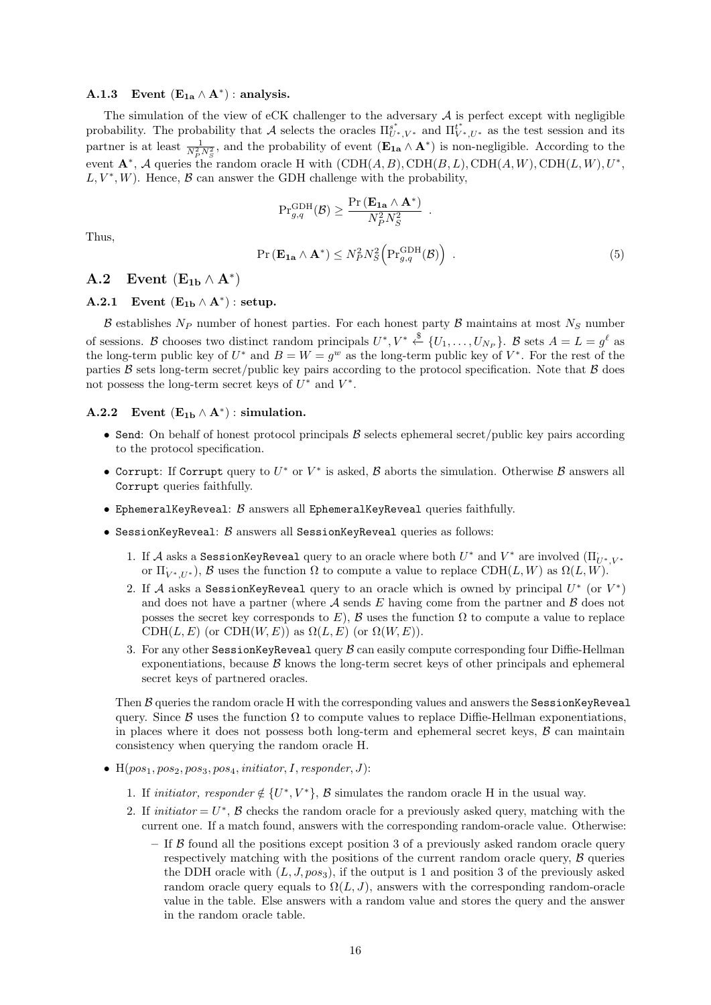### A.1.3 Event  $(E_{1a} \wedge A^*)$ : analysis.

The simulation of the view of eCK challenger to the adversary  $A$  is perfect except with negligible probability. The probability that A selects the oracles  $\Pi_{U^*,V^*}^{s^*}$  and  $\Pi_{V^*,U^*}^{t^*}$  as the test session and its partner is at least  $\frac{1}{N_P^2 N_S^2}$ , and the probability of event  $(\mathbf{E_{1a}} \wedge \mathbf{A}^*)$  is non-negligible. According to the event  $\mathbf{A}^*, \mathcal{A}$  queries the random oracle H with  $(\mathrm{CDH}(A, B), \mathrm{CDH}(B, L), \mathrm{CDH}(A, W), \mathrm{CDH}(L, W), U^*,$  $L, V^*, W$ ). Hence,  $\beta$  can answer the GDH challenge with the probability,

$$
\Pr_{g,q}^{\rm GDH}(\mathcal{B}) \ge \frac{\Pr\left(\mathbf{E_{1a}} \wedge \mathbf{A}^*\right)}{N_P^2 N_S^2} \ .
$$

Thus,

<span id="page-15-0"></span>
$$
\Pr\left(\mathbf{E_{1a}} \wedge \mathbf{A}^*\right) \le N_P^2 N_S^2 \Big(\Pr_{g,q}^{\text{GDH}}(\mathcal{B})\Big) \tag{5}
$$

## A.2 Event  $(E_{1b} \wedge A^*)$

### A.2.1 Event  $(E_{1b} \wedge A^*)$ : setup.

 $\beta$  establishes N<sub>P</sub> number of honest parties. For each honest party  $\beta$  maintains at most N<sub>S</sub> number of sessions. B chooses two distinct random principals  $U^*, V^* \stackrel{\$}{\leftarrow} \{U_1, \ldots, U_{N_P}\}$ . B sets  $A = L = g^{\ell}$  as the long-term public key of  $U^*$  and  $B = W = g^w$  as the long-term public key of  $V^*$ . For the rest of the parties  $\beta$  sets long-term secret/public key pairs according to the protocol specification. Note that  $\beta$  does not possess the long-term secret keys of  $U^*$  and  $V^*$ .

### A.2.2 Event  $(E_{1b} \wedge A^*)$ : simulation.

- Send: On behalf of honest protocol principals  $\beta$  selects ephemeral secret/public key pairs according to the protocol specification.
- Corrupt: If Corrupt query to  $U^*$  or  $V^*$  is asked,  $\beta$  aborts the simulation. Otherwise  $\beta$  answers all Corrupt queries faithfully.
- EphemeralKeyReveal:  $\beta$  answers all EphemeralKeyReveal queries faithfully.
- SessionKeyReveal:  $\beta$  answers all SessionKeyReveal queries as follows:
	- 1. If A asks a SessionKeyReveal query to an oracle where both  $U^*$  and  $V^*$  are involved  $(\Pi_{U^*,V^*}^*$ or  $\Pi_{V^*,U^*}$ ),  $\mathcal B$  uses the function  $\Omega$  to compute a value to replace  $\mathrm{CDH}(L,W)$  as  $\Omega(L,W)$ .
	- 2. If A asks a SessionKeyReveal query to an oracle which is owned by principal  $U^*$  (or  $V^*$ ) and does not have a partner (where  $A$  sends  $E$  having come from the partner and  $B$  does not posses the secret key corresponds to E), B uses the function  $\Omega$  to compute a value to replace CDH( $L, E$ ) (or CDH( $W, E$ )) as  $\Omega(L, E)$  (or  $\Omega(W, E)$ ).
	- 3. For any other SessionKeyReveal query  $\beta$  can easily compute corresponding four Diffie-Hellman exponentiations, because  $\beta$  knows the long-term secret keys of other principals and ephemeral secret keys of partnered oracles.

Then  $\beta$  queries the random oracle H with the corresponding values and answers the SessionKeyReveal query. Since B uses the function  $\Omega$  to compute values to replace Diffie-Hellman exponentiations, in places where it does not possess both long-term and ephemeral secret keys,  $\beta$  can maintain consistency when querying the random oracle H.

- $H(pos<sub>1</sub>, pos<sub>2</sub>, pos<sub>3</sub>, pos<sub>4</sub>, initiator, I, responder, J):$ 
	- 1. If initiator, responder  $\notin \{U^*, V^*\}, \mathcal{B}$  simulates the random oracle H in the usual way.
	- 2. If *initiator* =  $U^*$ ,  $\beta$  checks the random oracle for a previously asked query, matching with the current one. If a match found, answers with the corresponding random-oracle value. Otherwise:
		- If  $\beta$  found all the positions except position 3 of a previously asked random oracle query respectively matching with the positions of the current random oracle query,  $\beta$  queries the DDH oracle with  $(L, J, pos_3)$ , if the output is 1 and position 3 of the previously asked random oracle query equals to  $\Omega(L, J)$ , answers with the corresponding random-oracle value in the table. Else answers with a random value and stores the query and the answer in the random oracle table.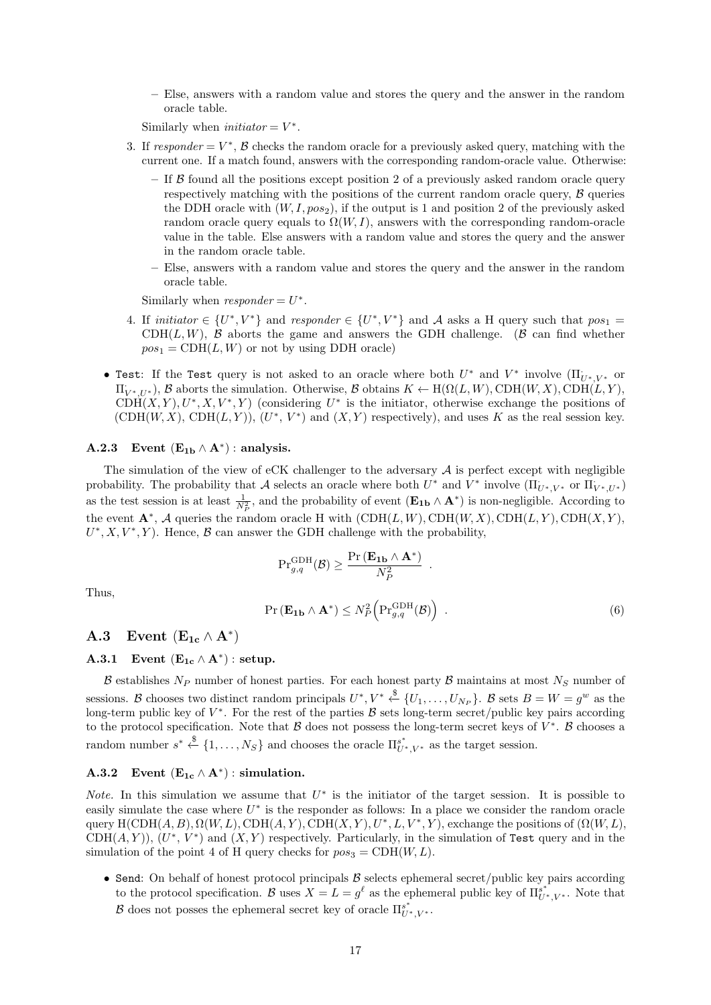– Else, answers with a random value and stores the query and the answer in the random oracle table.

Similarly when  $initiator = V^*$ .

- 3. If responder =  $V^*$ ,  $\beta$  checks the random oracle for a previously asked query, matching with the current one. If a match found, answers with the corresponding random-oracle value. Otherwise:
	- If  $\beta$  found all the positions except position 2 of a previously asked random oracle query respectively matching with the positions of the current random oracle query,  $\beta$  queries the DDH oracle with  $(W, I, pos_2)$ , if the output is 1 and position 2 of the previously asked random oracle query equals to  $\Omega(W, I)$ , answers with the corresponding random-oracle value in the table. Else answers with a random value and stores the query and the answer in the random oracle table.
	- Else, answers with a random value and stores the query and the answer in the random oracle table.

Similarly when  $responder = U^*$ .

- 4. If initiator  $\in \{U^*, V^*\}$  and responder  $\in \{U^*, V^*\}$  and A asks a H query such that  $pos_1 =$ CDH $(L, W)$ , B aborts the game and answers the GDH challenge. (B can find whether  $pos_1 = \text{CDH}(L, W)$  or not by using DDH oracle)
- Test: If the Test query is not asked to an oracle where both  $U^*$  and  $V^*$  involve  $(\Pi_{U^*,V^*}^*$  or  $\Pi_{V^*,U^*}$ ),  $\mathcal B$  aborts the simulation. Otherwise,  $\mathcal B$  obtains  $K \leftarrow \text{H}(\Omega(L,W), \text{CDH}(W,X), \text{CDH}(L,Y),$  $CDH(X, Y), U^*, X, V^*, Y)$  (considering  $U^*$  is the initiator, otherwise exchange the positions of  $(CDH(W, X), CDH(L, Y)), (U^*, V^*)$  and  $(X, Y)$  respectively), and uses K as the real session key.

### A.2.3 Event  $(E_{1b} \wedge A^*)$ : analysis.

The simulation of the view of eCK challenger to the adversary  $A$  is perfect except with negligible probability. The probability that A selects an oracle where both  $U^*$  and  $V^*$  involve  $(\Pi_{U^*,V^*}$  or  $\Pi_{V^*,U^*})$ as the test session is at least  $\frac{1}{N_P^2}$ , and the probability of event  $(\mathbf{E_{1b}} \wedge \mathbf{A}^*)$  is non-negligible. According to the event  $\mathbf{A}^*, \mathcal{A}$  queries the random oracle H with  $(\mathrm{CDH}(L, W), \mathrm{CDH}(W, X), \mathrm{CDH}(L, Y), \mathrm{CDH}(X, Y),$  $U^*, X, V^*, Y$ ). Hence,  $\beta$  can answer the GDH challenge with the probability,

$$
\mathrm{Pr}_{g,q}^{\mathrm{GDH}}(\mathcal{B}) \geq \frac{\mathrm{Pr}\left(\mathbf{E_{1b}} \wedge \mathbf{A}^{*}\right)}{N_{P}^{2}}\enspace.
$$

Thus,

$$
\Pr\left(\mathbf{E_{1b}} \wedge \mathbf{A}^*\right) \leq N_P^2 \left(\Pr_{g,q}^{\text{GDH}}(\mathcal{B})\right) \tag{6}
$$

## A.3 Event  $(E_{1c} \wedge A^*)$

A.3.1 Event  $(E_{1c} \wedge A^*)$ : setup.

 $\beta$  establishes  $N_P$  number of honest parties. For each honest party  $\beta$  maintains at most  $N_S$  number of sessions. B chooses two distinct random principals  $U^*, V^* \stackrel{\$}{\leftarrow} \{U_1, \ldots, U_{N_P}\}$ . B sets  $B = W = g^w$  as the long-term public key of  $V^*$ . For the rest of the parties  $\mathcal B$  sets long-term secret/public key pairs according to the protocol specification. Note that  $\beta$  does not possess the long-term secret keys of  $V^*$ .  $\beta$  chooses a random number  $s^* \stackrel{\$}{\leftarrow} \{1, \ldots, N_S\}$  and chooses the oracle  $\Pi_{U^*,V^*}^{s^*}$  as the target session.

### A.3.2 Event  $(E_{1c} \wedge A^*)$ : simulation.

*Note*. In this simulation we assume that  $U^*$  is the initiator of the target session. It is possible to easily simulate the case where  $U^*$  is the responder as follows: In a place we consider the random oracle query  $H(CDH(A, B), \Omega(W, L), CDH(A, Y), CDH(X, Y), U^*, L, V^*, Y)$ , exchange the positions of  $(\Omega(W, L),$ CDH $(A, Y)$ ),  $(U^*, V^*)$  and  $(X, Y)$  respectively. Particularly, in the simulation of Test query and in the simulation of the point 4 of H query checks for  $pos_3 = \text{CDH}(W, L)$ .

• Send: On behalf of honest protocol principals  $B$  selects ephemeral secret/public key pairs according to the protocol specification. B uses  $X = L = g^{\ell}$  as the ephemeral public key of  $\overline{\Pi_{U^*,V^*}^{s^*}}$ . Note that B does not posses the ephemeral secret key of oracle  $\Pi_{U^*,V^*}^{s^*}$ .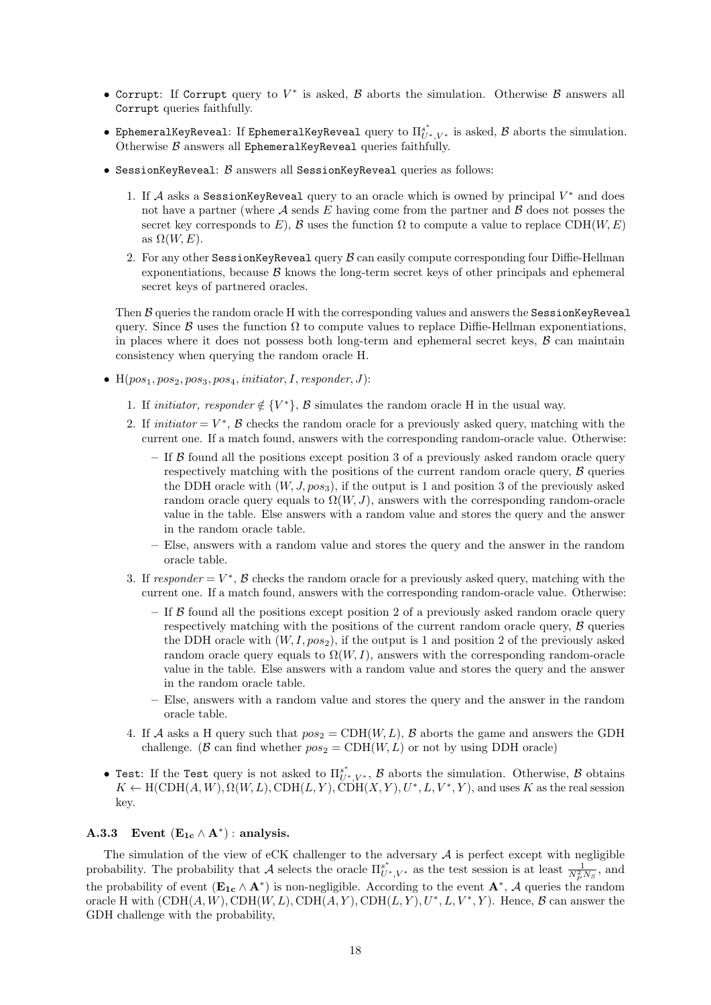- Corrupt: If Corrupt query to  $V^*$  is asked,  $\beta$  aborts the simulation. Otherwise  $\beta$  answers all Corrupt queries faithfully.
- EphemeralKeyReveal: If EphemeralKeyReveal query to  $\Pi_{U^*,V^*}^{s^*}$  is asked,  ${\cal B}$  aborts the simulation. Otherwise  $\beta$  answers all EphemeralKeyReveal queries faithfully.
- $\bullet$  SessionKeyReveal:  $\beta$  answers all SessionKeyReveal queries as follows:
	- 1. If  $A$  asks a SessionKeyReveal query to an oracle which is owned by principal  $V^*$  and does not have a partner (where  $A$  sends E having come from the partner and  $B$  does not posses the secret key corresponds to E), B uses the function  $\Omega$  to compute a value to replace CDH(W, E) as  $\Omega(W, E)$ .
	- 2. For any other SessionKeyReveal query  $\beta$  can easily compute corresponding four Diffie-Hellman exponentiations, because  $\beta$  knows the long-term secret keys of other principals and ephemeral secret keys of partnered oracles.

Then  $\beta$  queries the random oracle H with the corresponding values and answers the SessionKeyReveal query. Since B uses the function  $\Omega$  to compute values to replace Diffie-Hellman exponentiations, in places where it does not possess both long-term and ephemeral secret keys,  $\beta$  can maintain consistency when querying the random oracle H.

- $H(pos<sub>1</sub>, pos<sub>2</sub>, pos<sub>3</sub>, pos<sub>4</sub>, initiator, I, responder, J):$ 
	- 1. If initiator, responder  $\notin \{V^*\}, \mathcal{B}$  simulates the random oracle H in the usual way.
	- 2. If *initiator* =  $V^*$ ,  $\beta$  checks the random oracle for a previously asked query, matching with the current one. If a match found, answers with the corresponding random-oracle value. Otherwise:
		- $-$  If  $\beta$  found all the positions except position 3 of a previously asked random oracle query respectively matching with the positions of the current random oracle query,  $\beta$  queries the DDH oracle with  $(W, J, pos_3)$ , if the output is 1 and position 3 of the previously asked random oracle query equals to  $\Omega(W, J)$ , answers with the corresponding random-oracle value in the table. Else answers with a random value and stores the query and the answer in the random oracle table.
		- Else, answers with a random value and stores the query and the answer in the random oracle table.
	- 3. If responder =  $V^*$ ,  $\beta$  checks the random oracle for a previously asked query, matching with the current one. If a match found, answers with the corresponding random-oracle value. Otherwise:
		- If  $\beta$  found all the positions except position 2 of a previously asked random oracle query respectively matching with the positions of the current random oracle query,  $\beta$  queries the DDH oracle with  $(W, I, pos_2)$ , if the output is 1 and position 2 of the previously asked random oracle query equals to  $\Omega(W, I)$ , answers with the corresponding random-oracle value in the table. Else answers with a random value and stores the query and the answer in the random oracle table.
		- Else, answers with a random value and stores the query and the answer in the random oracle table.
	- 4. If A asks a H query such that  $pos_2 = \text{CDH}(W, L)$ , B aborts the game and answers the GDH challenge. ( $\beta$  can find whether  $pos_2 = \text{CDH}(W, L)$  or not by using DDH oracle)
- Test: If the Test query is not asked to  $\Pi_{U^*,V^*}^{s^*}$ ,  $\beta$  aborts the simulation. Otherwise,  $\beta$  obtains  $K \leftarrow H(CDH(A, W), \Omega(W, L), CDH(L, Y), CDH(X, Y), U^*, L, V^*, Y),$  and uses K as the real session key.

### A.3.3 Event  $(E_{1c} \wedge A^*)$ : analysis.

The simulation of the view of eCK challenger to the adversary  $A$  is perfect except with negligible probability. The probability that A selects the oracle  $\Pi_{U^*,V^*}^{s^*}$  as the test session is at least  $\frac{1}{N_P^2 N_S}$ , and the probability of event  $(\mathbf{E_{1c}} \wedge \mathbf{A}^*)$  is non-negligible. According to the event  $\mathbf{A}^*, \mathcal{A}$  queries the random oracle H with  $(CDH(A, W), CDH(W, L), CDH(A, Y), CDH(L, Y), U^*, L, V^*, Y)$ . Hence,  $\beta$  can answer the GDH challenge with the probability,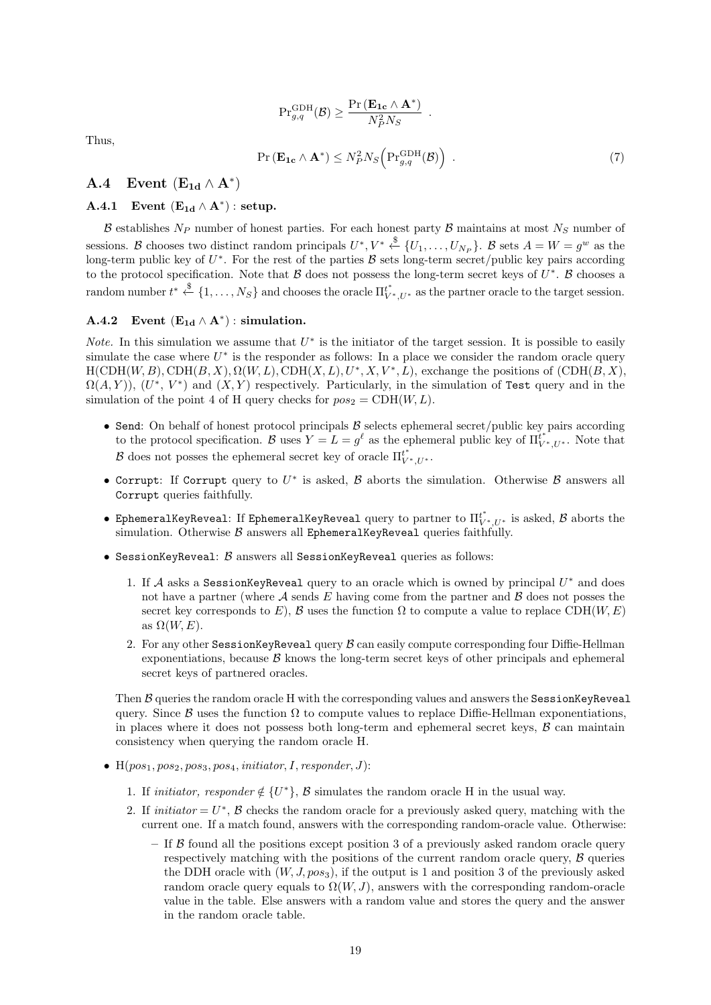$$
\mathrm{Pr}_{g,q}^{\rm GDH}(\mathcal{B}) \geq \frac{\Pr\left(\mathbf{E_{1c}} \wedge \mathbf{A}^{*}\right)}{N_{P}^{2} N_{S}} \enspace .
$$

Thus,

$$
\Pr\left(\mathbf{E_{1c}} \wedge \mathbf{A}^*\right) \le N_P^2 N_S \left(\Pr_{g,q}^{\text{GDH}}(\mathcal{B})\right) \tag{7}
$$

## A.4 Event  $(E_{1d} \wedge A^*)$

### A.4.1 Event  $(E_{1d} \wedge A^*)$ : setup.

B establishes  $N_P$  number of honest parties. For each honest party B maintains at most  $N_S$  number of sessions. B chooses two distinct random principals  $U^*, V^* \stackrel{\$}{\leftarrow} \{U_1, \ldots, U_{N_P}\}$ . B sets  $A = W = g^w$  as the long-term public key of  $U^*$ . For the rest of the parties  $\mathcal B$  sets long-term secret/public key pairs according to the protocol specification. Note that  $\beta$  does not possess the long-term secret keys of  $U^*$ .  $\beta$  chooses a random number  $t^* \stackrel{\$}{\leftarrow} \{1,\ldots,N_S\}$  and chooses the oracle  $\Pi_{V^*,U^*}^{t^*}$  as the partner oracle to the target session.

### A.4.2 Event  $(E_{1d} \wedge A^*)$ : simulation.

Note. In this simulation we assume that  $U^*$  is the initiator of the target session. It is possible to easily simulate the case where  $U^*$  is the responder as follows: In a place we consider the random oracle query  $H(CDH(W, B), CDH(B, X), \Omega(W, L), CDH(X, L), U^*, X, V^*, L)$ , exchange the positions of  $(CDH(B, X),$  $\Omega(A, Y)$ ,  $(U^*, V^*)$  and  $(X, Y)$  respectively. Particularly, in the simulation of Test query and in the simulation of the point 4 of H query checks for  $pos_2 = \text{CDH}(W, L)$ .

- Send: On behalf of honest protocol principals  $\beta$  selects ephemeral secret/public key pairs according to the protocol specification. B uses  $Y = L = g^{\ell}$  as the ephemeral public key of  $\Pi_{V^*,U^*}^{t^*}$ . Note that B does not posses the ephemeral secret key of oracle  $\Pi^{t^*}_{V^*,U^*}.$
- Corrupt: If Corrupt query to  $U^*$  is asked,  $\beta$  aborts the simulation. Otherwise  $\beta$  answers all Corrupt queries faithfully.
- EphemeralKeyReveal: If EphemeralKeyReveal query to partner to  $\Pi^{t^*}_{V^*,U^*}$  is asked,  ${\cal B}$  aborts the simulation. Otherwise  $\beta$  answers all EphemeralKeyReveal queries faithfully.
- SessionKeyReveal:  $\beta$  answers all SessionKeyReveal queries as follows:
	- 1. If  $A$  asks a SessionKeyReveal query to an oracle which is owned by principal  $U^*$  and does not have a partner (where  $A$  sends  $E$  having come from the partner and  $B$  does not posses the secret key corresponds to E), B uses the function  $\Omega$  to compute a value to replace CDH(W, E) as  $\Omega(W, E)$ .
	- 2. For any other SessionKeyReveal query  $\beta$  can easily compute corresponding four Diffie-Hellman exponentiations, because  $\beta$  knows the long-term secret keys of other principals and ephemeral secret keys of partnered oracles.

Then  $\beta$  queries the random oracle H with the corresponding values and answers the SessionKeyReveal query. Since B uses the function  $\Omega$  to compute values to replace Diffie-Hellman exponentiations, in places where it does not possess both long-term and ephemeral secret keys,  $\beta$  can maintain consistency when querying the random oracle H.

- $H(pos_1, pos_2, pos_3, pos_4, initiator, I, responder, J):$ 
	- 1. If initiator, responder  $\notin \{U^*\}, \mathcal{B}$  simulates the random oracle H in the usual way.
	- 2. If *initiator* =  $U^*$ ,  $\beta$  checks the random oracle for a previously asked query, matching with the current one. If a match found, answers with the corresponding random-oracle value. Otherwise:
		- If  $\beta$  found all the positions except position 3 of a previously asked random oracle query respectively matching with the positions of the current random oracle query,  $\beta$  queries the DDH oracle with  $(W, J, pos_3)$ , if the output is 1 and position 3 of the previously asked random oracle query equals to  $\Omega(W, J)$ , answers with the corresponding random-oracle value in the table. Else answers with a random value and stores the query and the answer in the random oracle table.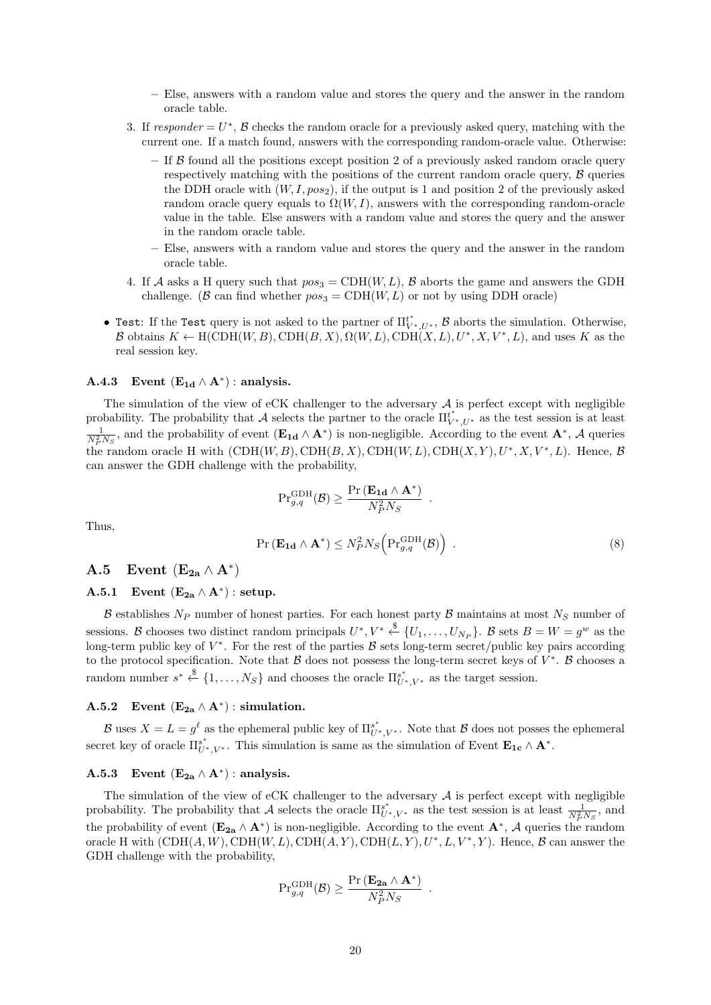- Else, answers with a random value and stores the query and the answer in the random oracle table.
- 3. If responder =  $U^*$ ,  $\beta$  checks the random oracle for a previously asked query, matching with the current one. If a match found, answers with the corresponding random-oracle value. Otherwise:
	- If  $\beta$  found all the positions except position 2 of a previously asked random oracle query respectively matching with the positions of the current random oracle query,  $\beta$  queries the DDH oracle with  $(W, I, pos_2)$ , if the output is 1 and position 2 of the previously asked random oracle query equals to  $\Omega(W, I)$ , answers with the corresponding random-oracle value in the table. Else answers with a random value and stores the query and the answer in the random oracle table.
	- Else, answers with a random value and stores the query and the answer in the random oracle table.
- 4. If A asks a H query such that  $pos_3 = \text{CDH}(W, L)$ , B aborts the game and answers the GDH challenge. (B can find whether  $pos_3 = \text{CDH}(W, L)$  or not by using DDH oracle)
- Test: If the Test query is not asked to the partner of  $\Pi_{V^*,U^*}^{t^*}$ ,  $\mathcal B$  aborts the simulation. Otherwise, B obtains  $K \leftarrow H(CDH(W, B), CDH(B, X), \Omega(W, L), CDH(X, L), U^*, X, V^*, L)$ , and uses K as the real session key.

### A.4.3 Event  $(E_{1d} \wedge A^*)$ : analysis.

The simulation of the view of eCK challenger to the adversary  $A$  is perfect except with negligible probability. The probability that A selects the partner to the oracle  $\Pi_{V^*,U^*}^{t^*}$  as the test session is at least  $\frac{1}{N_P^2 N_S}$ , and the probability of event  $(\mathbf{E_{1d}} \wedge \mathbf{A}^*)$  is non-negligible. According to the event  $\mathbf{A}^*$ , A queries the random oracle H with  $(CDH(W, B), CDH(B, X), CDH(W, L), CDH(X, Y), U^*, X, V^*, L)$ . Hence, B can answer the GDH challenge with the probability,

$$
\mathrm{Pr}_{g,q}^{\mathrm{GDH}}(\mathcal{B}) \geq \frac{\mathrm{Pr}(\mathbf{E_{1d}} \wedge \mathbf{A}^*)}{N_P^2 N_S} \enspace .
$$

Thus,

$$
Pr\left(\mathbf{E_{1d}} \wedge \mathbf{A}^*\right) \le N_P^2 N_S \left(\Pr_{g,q}^{\text{GDH}}(\mathcal{B})\right) \tag{8}
$$

## A.5 Event  $(E_{2a} \wedge A^*)$

### A.5.1 Event  $(E_{2a} \wedge A^*)$ : setup.

 $\mathcal B$  establishes  $N_P$  number of honest parties. For each honest party  $\mathcal B$  maintains at most  $N_S$  number of sessions. B chooses two distinct random principals  $U^*, V^* \stackrel{\$}{\leftarrow} \{U_1, \ldots, U_{N_P}\}$ . B sets  $B = W = g^w$  as the long-term public key of  $V^*$ . For the rest of the parties  $\mathcal B$  sets long-term secret/public key pairs according to the protocol specification. Note that  $\beta$  does not possess the long-term secret keys of  $V^*$ .  $\beta$  chooses a random number  $s^* \stackrel{\$}{\leftarrow} \{1, \ldots, N_S\}$  and chooses the oracle  $\Pi_{U^*,V^*}^{s^*}$  as the target session.

### A.5.2 Event  $(E_{2a} \wedge A^*)$ : simulation.

B uses  $X = L = g^{\ell}$  as the ephemeral public key of  $\Pi_{U^*,V^*}^{s^*}$ . Note that B does not posses the ephemeral secret key of oracle  $\Pi_{U^*,V^*}^{s^*}$ . This simulation is same as the simulation of Event  $\mathbf{E_{1c}} \wedge \mathbf{A}^*$ .

### A.5.3 Event  $(E_{2a} \wedge A^*)$ : analysis.

The simulation of the view of eCK challenger to the adversary  $\mathcal A$  is perfect except with negligible probability. The probability that A selects the oracle  $\Pi_{U^*,V^*}^{s^*}$  as the test session is at least  $\frac{1}{N_P^2 N_S}$ , and the probability of event  $(\mathbf{E_{2a}} \wedge \mathbf{A}^*)$  is non-negligible. According to the event  $\mathbf{A}^*, \mathcal{A}$  queries the random oracle H with  $(CDH(A, W), CDH(W, L), CDH(A, Y), CDH(L, Y), U^*, L, V^*, Y)$ . Hence,  $\beta$  can answer the GDH challenge with the probability,

$$
\mathrm{Pr}_{g,q}^{\mathrm{GDH}}(\mathcal{B}) \geq \frac{\mathrm{Pr}\left(\mathbf{E_{2a}} \wedge \mathbf{A}^*\right)}{N_P^2 N_S} \enspace .
$$